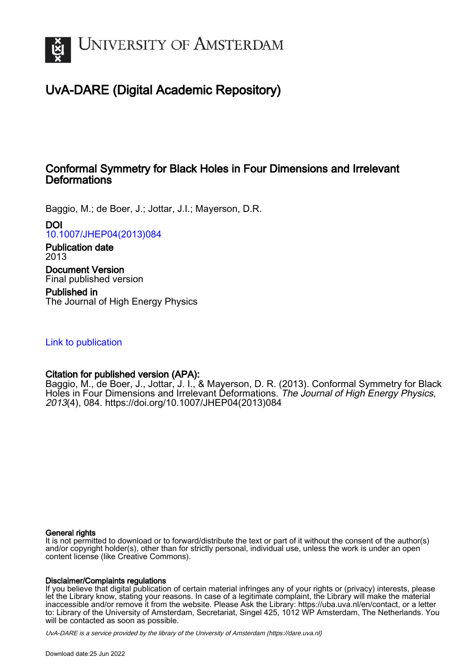

# UvA-DARE (Digital Academic Repository)

# Conformal Symmetry for Black Holes in Four Dimensions and Irrelevant **Deformations**

Baggio, M.; de Boer, J.; Jottar, J.I.; Mayerson, D.R.

DOI

[10.1007/JHEP04\(2013\)084](https://doi.org/10.1007/JHEP04(2013)084)

Publication date 2013

Document Version Final published version

Published in The Journal of High Energy Physics

[Link to publication](https://dare.uva.nl/personal/pure/en/publications/conformal-symmetry-for-black-holes-in-four-dimensions-and-irrelevant-deformations(72f58fc4-e8d0-478d-8053-cd868f11f166).html)

# Citation for published version (APA):

Baggio, M., de Boer, J., Jottar, J. I., & Mayerson, D. R. (2013). Conformal Symmetry for Black Holes in Four Dimensions and Irrelevant Deformations. The Journal of High Energy Physics, 2013(4), 084. [https://doi.org/10.1007/JHEP04\(2013\)084](https://doi.org/10.1007/JHEP04(2013)084)

## General rights

It is not permitted to download or to forward/distribute the text or part of it without the consent of the author(s) and/or copyright holder(s), other than for strictly personal, individual use, unless the work is under an open content license (like Creative Commons).

## Disclaimer/Complaints regulations

If you believe that digital publication of certain material infringes any of your rights or (privacy) interests, please let the Library know, stating your reasons. In case of a legitimate complaint, the Library will make the material inaccessible and/or remove it from the website. Please Ask the Library: https://uba.uva.nl/en/contact, or a letter to: Library of the University of Amsterdam, Secretariat, Singel 425, 1012 WP Amsterdam, The Netherlands. You will be contacted as soon as possible.

UvA-DARE is a service provided by the library of the University of Amsterdam (http*s*://dare.uva.nl)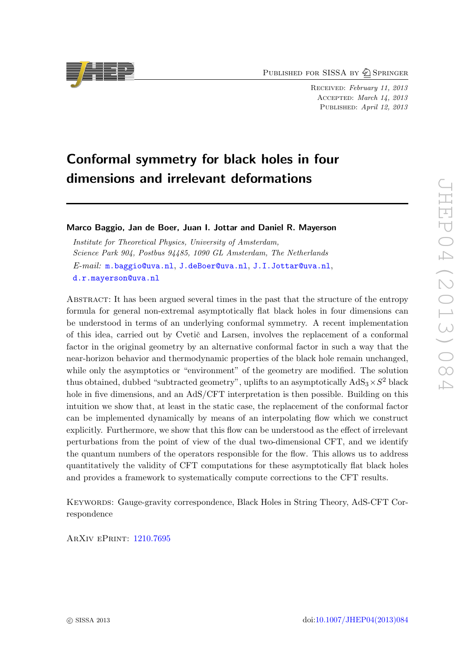PUBLISHED FOR SISSA BY 2 SPRINGER

Received: February 11, 2013 Accepted: March 14, 2013 PUBLISHED: April 12, 2013

# Conformal symmetry for black holes in four dimensions and irrelevant deformations

Marco Baggio, Jan de Boer, Juan I. Jottar and Daniel R. Mayerson

Institute for Theoretical Physics, University of Amsterdam, Science Park 904, Postbus 94485, 1090 GL Amsterdam, The Netherlands E-mail: [m.baggio@uva.nl](mailto:m.baggio@uva.nl), [J.deBoer@uva.nl](mailto:J.deBoer@uva.nl), [J.I.Jottar@uva.nl](mailto:J.I.Jottar@uva.nl), [d.r.mayerson@uva.nl](mailto:d.r.mayerson@uva.nl)

Abstract: It has been argued several times in the past that the structure of the entropy formula for general non-extremal asymptotically flat black holes in four dimensions can be understood in terms of an underlying conformal symmetry. A recent implementation of this idea, carried out by Cvetic and Larsen, involves the replacement of a conformal factor in the original geometry by an alternative conformal factor in such a way that the near-horizon behavior and thermodynamic properties of the black hole remain unchanged, while only the asymptotics or "environment" of the geometry are modified. The solution thus obtained, dubbed "subtracted geometry", uplifts to an asymptotically  $AdS_3 \times S^2$  black hole in five dimensions, and an AdS/CFT interpretation is then possible. Building on this intuition we show that, at least in the static case, the replacement of the conformal factor can be implemented dynamically by means of an interpolating flow which we construct explicitly. Furthermore, we show that this flow can be understood as the effect of irrelevant perturbations from the point of view of the dual two-dimensional CFT, and we identify the quantum numbers of the operators responsible for the flow. This allows us to address quantitatively the validity of CFT computations for these asymptotically flat black holes and provides a framework to systematically compute corrections to the CFT results.

Keywords: Gauge-gravity correspondence, Black Holes in String Theory, AdS-CFT Correspondence

ArXiv ePrint: [1210.7695](http://arxiv.org/abs/1210.7695)

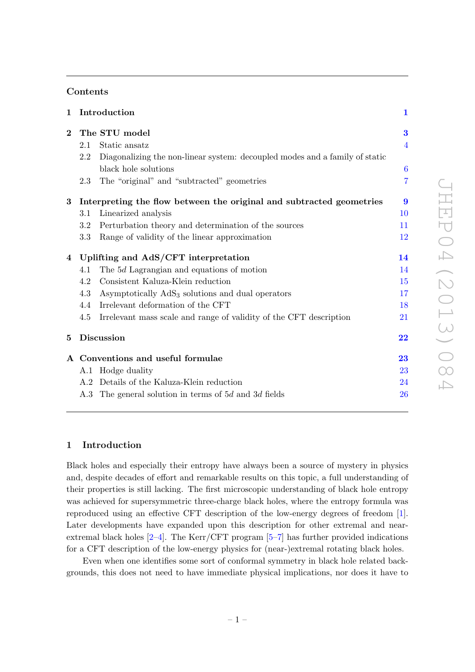# Contents

| Introduction<br>$\mathbf{1}$ |                                                                             | $\mathbf{1}$                                                                                                                                                                                                                                                                                                       |
|------------------------------|-----------------------------------------------------------------------------|--------------------------------------------------------------------------------------------------------------------------------------------------------------------------------------------------------------------------------------------------------------------------------------------------------------------|
|                              |                                                                             | 3                                                                                                                                                                                                                                                                                                                  |
| 2.1                          | Static ansatz                                                               | $\overline{4}$                                                                                                                                                                                                                                                                                                     |
| 2.2                          | Diagonalizing the non-linear system: decoupled modes and a family of static |                                                                                                                                                                                                                                                                                                                    |
|                              | black hole solutions                                                        | $\boldsymbol{6}$                                                                                                                                                                                                                                                                                                   |
| 2.3                          | The "original" and "subtracted" geometries                                  | $\overline{7}$                                                                                                                                                                                                                                                                                                     |
|                              |                                                                             | $\boldsymbol{9}$                                                                                                                                                                                                                                                                                                   |
| 3.1                          | Linearized analysis                                                         | 10                                                                                                                                                                                                                                                                                                                 |
| 3.2                          | Perturbation theory and determination of the sources                        | 11                                                                                                                                                                                                                                                                                                                 |
| 3.3                          | Range of validity of the linear approximation                               | 12                                                                                                                                                                                                                                                                                                                 |
|                              |                                                                             | 14                                                                                                                                                                                                                                                                                                                 |
| 4.1                          | The 5d Lagrangian and equations of motion                                   | 14                                                                                                                                                                                                                                                                                                                 |
| 4.2                          | Consistent Kaluza-Klein reduction                                           | 15                                                                                                                                                                                                                                                                                                                 |
| 4.3                          | Asymptotically AdS <sub>3</sub> solutions and dual operators                | 17                                                                                                                                                                                                                                                                                                                 |
| 4.4                          | Irrelevant deformation of the CFT                                           | 18                                                                                                                                                                                                                                                                                                                 |
| 4.5                          | Irrelevant mass scale and range of validity of the CFT description          | $21\,$                                                                                                                                                                                                                                                                                                             |
|                              |                                                                             | $\overline{\bf 22}$                                                                                                                                                                                                                                                                                                |
|                              |                                                                             | 23                                                                                                                                                                                                                                                                                                                 |
|                              |                                                                             | 23                                                                                                                                                                                                                                                                                                                 |
|                              |                                                                             | 24                                                                                                                                                                                                                                                                                                                 |
|                              |                                                                             | 26                                                                                                                                                                                                                                                                                                                 |
|                              |                                                                             | The STU model<br>Interpreting the flow between the original and subtracted geometries<br>Uplifting and AdS/CFT interpretation<br><b>Discussion</b><br>A Conventions and useful formulae<br>A.1 Hodge duality<br>A.2 Details of the Kaluza-Klein reduction<br>A.3 The general solution in terms of 5d and 3d fields |

# <span id="page-2-0"></span>1 Introduction

Black holes and especially their entropy have always been a source of mystery in physics and, despite decades of effort and remarkable results on this topic, a full understanding of their properties is still lacking. The first microscopic understanding of black hole entropy was achieved for supersymmetric three-charge black holes, where the entropy formula was reproduced using an effective CFT description of the low-energy degrees of freedom [\[1\]](#page-28-0). Later developments have expanded upon this description for other extremal and nearextremal black holes  $[2-4]$  $[2-4]$ . The Kerr/CFT program  $[5-7]$  $[5-7]$  has further provided indications for a CFT description of the low-energy physics for (near-)extremal rotating black holes.

Even when one identifies some sort of conformal symmetry in black hole related backgrounds, this does not need to have immediate physical implications, nor does it have to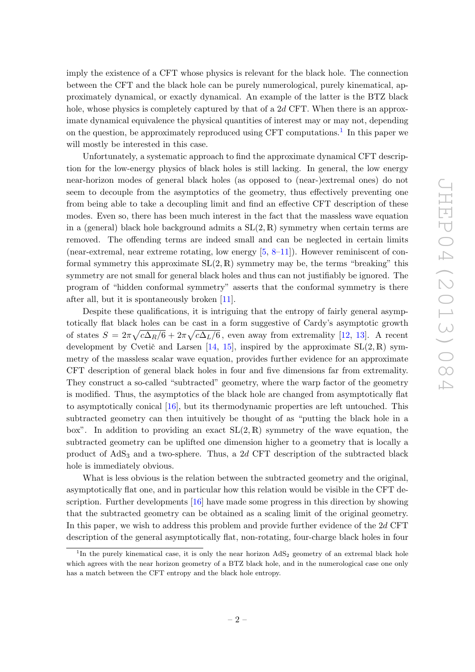imply the existence of a CFT whose physics is relevant for the black hole. The connection between the CFT and the black hole can be purely numerological, purely kinematical, approximately dynamical, or exactly dynamical. An example of the latter is the BTZ black hole, whose physics is completely captured by that of a 2d CFT. When there is an approximate dynamical equivalence the physical quantities of interest may or may not, depending on the question, be approximately reproduced using CFT computations.<sup>[1](#page-3-0)</sup> In this paper we will mostly be interested in this case.

Unfortunately, a systematic approach to find the approximate dynamical CFT description for the low-energy physics of black holes is still lacking. In general, the low energy near-horizon modes of general black holes (as opposed to (near-)extremal ones) do not seem to decouple from the asymptotics of the geometry, thus effectively preventing one from being able to take a decoupling limit and find an effective CFT description of these modes. Even so, there has been much interest in the fact that the massless wave equation in a (general) black hole background admits a  $SL(2, \mathbb{R})$  symmetry when certain terms are removed. The offending terms are indeed small and can be neglected in certain limits (near-extremal, near extreme rotating, low energy  $[5, 8-11]$  $[5, 8-11]$  $[5, 8-11]$  $[5, 8-11]$ ). However reminiscent of conformal symmetry this approximate  $SL(2,\mathbb{R})$  symmetry may be, the terms "breaking" this symmetry are not small for general black holes and thus can not justifiably be ignored. The program of "hidden conformal symmetry" asserts that the conformal symmetry is there after all, but it is spontaneously broken [\[11\]](#page-29-5).

Despite these qualifications, it is intriguing that the entropy of fairly general asymptotically flat black holes can be cast in a form suggestive of Cardy's asymptotic growth of states  $S = 2\pi\sqrt{c\Delta_R/6} + 2\pi\sqrt{c\Delta_L/6}$ , even away from extremality [\[12,](#page-29-6) [13\]](#page-29-7). A recent development by Cvetič and Larsen [\[14,](#page-29-8) [15\]](#page-29-9), inspired by the approximate  $SL(2, \mathbb{R})$  symmetry of the massless scalar wave equation, provides further evidence for an approximate CFT description of general black holes in four and five dimensions far from extremality. They construct a so-called "subtracted" geometry, where the warp factor of the geometry is modified. Thus, the asymptotics of the black hole are changed from asymptotically flat to asymptotically conical [\[16\]](#page-29-10), but its thermodynamic properties are left untouched. This subtracted geometry can then intuitively be thought of as "putting the black hole in a box". In addition to providing an exact  $SL(2,\mathbb{R})$  symmetry of the wave equation, the subtracted geometry can be uplifted one dimension higher to a geometry that is locally a product of  $AdS<sub>3</sub>$  and a two-sphere. Thus, a 2d CFT description of the subtracted black hole is immediately obvious.

What is less obvious is the relation between the subtracted geometry and the original, asymptotically flat one, and in particular how this relation would be visible in the CFT description. Further developments [\[16\]](#page-29-10) have made some progress in this direction by showing that the subtracted geometry can be obtained as a scaling limit of the original geometry. In this paper, we wish to address this problem and provide further evidence of the 2d CFT description of the general asymptotically flat, non-rotating, four-charge black holes in four

<span id="page-3-0"></span><sup>&</sup>lt;sup>1</sup>In the purely kinematical case, it is only the near horizon  $AdS_2$  geometry of an extremal black hole which agrees with the near horizon geometry of a BTZ black hole, and in the numerological case one only has a match between the CFT entropy and the black hole entropy.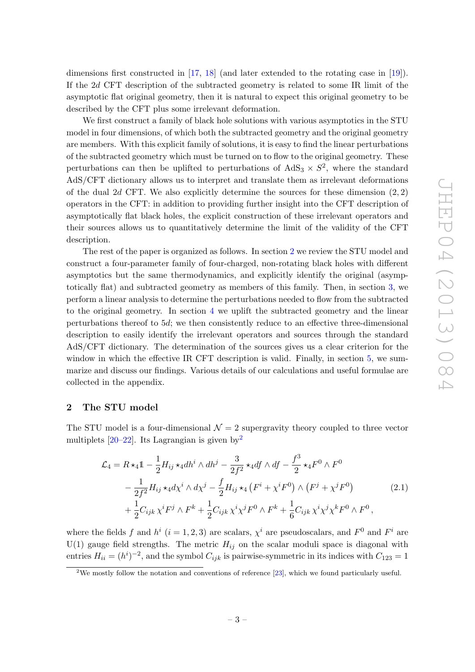dimensions first constructed in [\[17,](#page-29-11) [18\]](#page-29-12) (and later extended to the rotating case in [\[19\]](#page-29-13)). If the 2d CFT description of the subtracted geometry is related to some IR limit of the asymptotic flat original geometry, then it is natural to expect this original geometry to be described by the CFT plus some irrelevant deformation.

We first construct a family of black hole solutions with various asymptotics in the STU model in four dimensions, of which both the subtracted geometry and the original geometry are members. With this explicit family of solutions, it is easy to find the linear perturbations of the subtracted geometry which must be turned on to flow to the original geometry. These perturbations can then be uplifted to perturbations of  $AdS_3 \times S^2$ , where the standard AdS/CFT dictionary allows us to interpret and translate them as irrelevant deformations of the dual 2d CFT. We also explicitly determine the sources for these dimension  $(2, 2)$ operators in the CFT: in addition to providing further insight into the CFT description of asymptotically flat black holes, the explicit construction of these irrelevant operators and their sources allows us to quantitatively determine the limit of the validity of the CFT description.

The rest of the paper is organized as follows. In section [2](#page-4-0) we review the STU model and construct a four-parameter family of four-charged, non-rotating black holes with different asymptotics but the same thermodynamics, and explicitly identify the original (asymptotically flat) and subtracted geometry as members of this family. Then, in section [3,](#page-10-0) we perform a linear analysis to determine the perturbations needed to flow from the subtracted to the original geometry. In section [4](#page-15-0) we uplift the subtracted geometry and the linear perturbations thereof to 5d; we then consistently reduce to an effective three-dimensional description to easily identify the irrelevant operators and sources through the standard AdS/CFT dictionary. The determination of the sources gives us a clear criterion for the window in which the effective IR CFT description is valid. Finally, in section [5,](#page-23-0) we summarize and discuss our findings. Various details of our calculations and useful formulae are collected in the appendix.

#### <span id="page-4-0"></span>2 The STU model

The STU model is a four-dimensional  $\mathcal{N}=2$  supergravity theory coupled to three vector multiplets  $[20-22]$  $[20-22]$ . Its Lagrangian is given by<sup>[2](#page-4-1)</sup>

<span id="page-4-2"></span>
$$
\mathcal{L}_{4} = R \star_{4} 1 - \frac{1}{2} H_{ij} \star_{4} dh^{i} \wedge dh^{j} - \frac{3}{2f^{2}} \star_{4} df \wedge df - \frac{f^{3}}{2} \star_{4} F^{0} \wedge F^{0}
$$
  

$$
- \frac{1}{2f^{2}} H_{ij} \star_{4} d\chi^{i} \wedge d\chi^{j} - \frac{f}{2} H_{ij} \star_{4} (F^{i} + \chi^{i} F^{0}) \wedge (F^{j} + \chi^{j} F^{0})
$$
  

$$
+ \frac{1}{2} C_{ijk} \chi^{i} F^{j} \wedge F^{k} + \frac{1}{2} C_{ijk} \chi^{i} \chi^{j} F^{0} \wedge F^{k} + \frac{1}{6} C_{ijk} \chi^{i} \chi^{j} \chi^{k} F^{0} \wedge F^{0},
$$
  
(2.1)

where the fields f and  $h^i$   $(i = 1, 2, 3)$  are scalars,  $\chi^i$  are pseudoscalars, and  $F^0$  and  $F^i$  are  $U(1)$  gauge field strengths. The metric  $H_{ij}$  on the scalar moduli space is diagonal with entries  $H_{ii} = (h^i)^{-2}$ , and the symbol  $C_{ijk}$  is pairwise-symmetric in its indices with  $C_{123} = 1$ 

<span id="page-4-1"></span><sup>&</sup>lt;sup>2</sup>We mostly follow the notation and conventions of reference [\[23\]](#page-30-1), which we found particularly useful.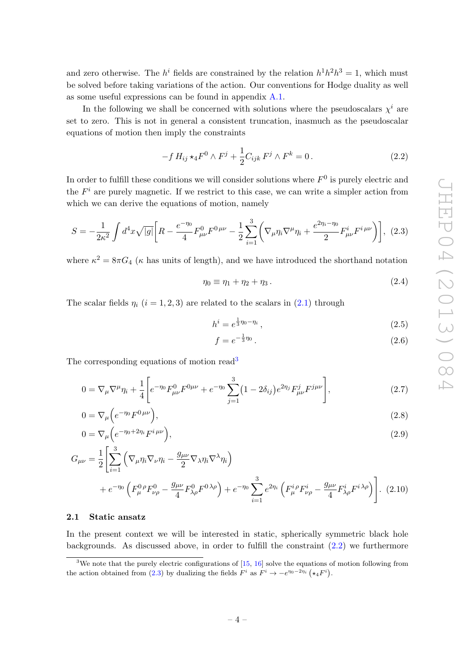and zero otherwise. The  $h^i$  fields are constrained by the relation  $h^1h^2h^3 = 1$ , which must be solved before taking variations of the action. Our conventions for Hodge duality as well as some useful expressions can be found in appendix [A.1.](#page-24-1)

In the following we shall be concerned with solutions where the pseudoscalars  $\chi^{i}$  are set to zero. This is not in general a consistent truncation, inasmuch as the pseudoscalar equations of motion then imply the constraints

<span id="page-5-2"></span>
$$
-f H_{ij} \star_4 F^0 \wedge F^j + \frac{1}{2} C_{ijk} F^j \wedge F^k = 0.
$$
 (2.2)

In order to fulfill these conditions we will consider solutions where  $F^0$  is purely electric and the  $F<sup>i</sup>$  are purely magnetic. If we restrict to this case, we can write a simpler action from which we can derive the equations of motion, namely

$$
S = -\frac{1}{2\kappa^2} \int d^4x \sqrt{|g|} \bigg[ R - \frac{e^{-\eta_0}}{4} F_{\mu\nu}^0 F^{0\,\mu\nu} - \frac{1}{2} \sum_{i=1}^3 \bigg( \nabla_\mu \eta_i \nabla^\mu \eta_i + \frac{e^{2\eta_i - \eta_0}}{2} F_{\mu\nu}^i F^{i\,\mu\nu} \bigg) \bigg], \tag{2.3}
$$

where  $\kappa^2 = 8\pi G_4$  ( $\kappa$  has units of length), and we have introduced the shorthand notation

<span id="page-5-3"></span>
$$
\eta_0 \equiv \eta_1 + \eta_2 + \eta_3. \tag{2.4}
$$

The scalar fields  $\eta_i$  (i = 1, 2, 3) are related to the scalars in [\(2.1\)](#page-4-2) through

$$
h^{i} = e^{\frac{1}{3}\eta_{0} - \eta_{i}}, \qquad (2.5)
$$

$$
f = e^{-\frac{1}{3}\eta_0}.
$$
 (2.6)

The corresponding equations of motion read<sup>[3](#page-5-1)</sup>

$$
0 = \nabla_{\mu} \nabla^{\mu} \eta_i + \frac{1}{4} \left[ e^{-\eta_0} F^{0}_{\mu\nu} F^{0\mu\nu} + e^{-\eta_0} \sum_{j=1}^3 (1 - 2\delta_{ij}) e^{2\eta_j} F^{j}_{\mu\nu} F^{j\mu\nu} \right],
$$
\n(2.7)

$$
0 = \nabla_{\mu} \left( e^{-\eta_0} F^{0 \, \mu \nu} \right),\tag{2.8}
$$

$$
0 = \nabla_{\mu} \left( e^{-\eta_0 + 2\eta_i} F^{i \mu \nu} \right),\tag{2.9}
$$

$$
G_{\mu\nu} = \frac{1}{2} \left[ \sum_{i=1}^{3} \left( \nabla_{\mu} \eta_i \nabla_{\nu} \eta_i - \frac{g_{\mu\nu}}{2} \nabla_{\lambda} \eta_i \nabla^{\lambda} \eta_i \right) + e^{-\eta_0} \left( F_{\mu}^{0 \rho} F_{\nu\rho}^{0} - \frac{g_{\mu\nu}}{4} F_{\lambda\rho}^{0} F^{0 \lambda\rho} \right) + e^{-\eta_0} \sum_{i=1}^{3} e^{2\eta_i} \left( F_{\mu}^{i \rho} F_{\nu\rho}^{i} - \frac{g_{\mu\nu}}{4} F_{\lambda\rho}^{i} F^{i \lambda\rho} \right) \right].
$$
 (2.10)

#### <span id="page-5-0"></span>2.1 Static ansatz

In the present context we will be interested in static, spherically symmetric black hole backgrounds. As discussed above, in order to fulfill the constraint [\(2.2\)](#page-5-2) we furthermore

<span id="page-5-1"></span><sup>&</sup>lt;sup>3</sup>We note that the purely electric configurations of [\[15,](#page-29-9) [16\]](#page-29-10) solve the equations of motion following from the action obtained from [\(2.3\)](#page-5-3) by dualizing the fields  $F^i$  as  $F^i \to -e^{\eta_0-2\eta_i} (\star_4 F^i)$ .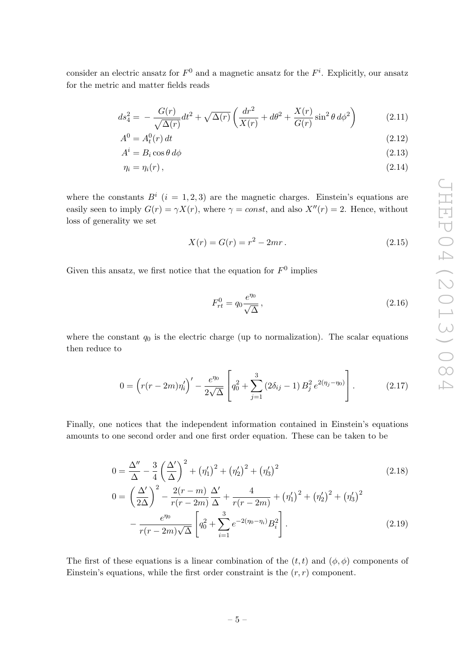consider an electric ansatz for  $F^0$  and a magnetic ansatz for the  $F^i$ . Explicitly, our ansatz for the metric and matter fields reads

$$
ds_4^2 = -\frac{G(r)}{\sqrt{\Delta(r)}}dt^2 + \sqrt{\Delta(r)}\left(\frac{dr^2}{X(r)} + d\theta^2 + \frac{X(r)}{G(r)}\sin^2\theta \,d\phi^2\right) \tag{2.11}
$$

$$
A^0 = A_t^0(r) dt
$$
 (2.12)

$$
A^i = B_i \cos \theta \, d\phi \tag{2.13}
$$

$$
\eta_i = \eta_i(r),\tag{2.14}
$$

where the constants  $B^i$   $(i = 1, 2, 3)$  are the magnetic charges. Einstein's equations are easily seen to imply  $G(r) = \gamma X(r)$ , where  $\gamma = const$ , and also  $X''(r) = 2$ . Hence, without loss of generality we set

<span id="page-6-3"></span><span id="page-6-2"></span>
$$
X(r) = G(r) = r^2 - 2mr.
$$
\n(2.15)

Given this ansatz, we first notice that the equation for  $F^0$  implies

<span id="page-6-0"></span>
$$
F_{rt}^0 = q_0 \frac{e^{\eta_0}}{\sqrt{\Delta}},
$$
\n(2.16)

where the constant  $q_0$  is the electric charge (up to normalization). The scalar equations then reduce to

$$
0 = \left(r(r-2m)\eta_i'\right)' - \frac{e^{\eta_0}}{2\sqrt{\Delta}} \left[q_0^2 + \sum_{j=1}^3 \left(2\delta_{ij} - 1\right)B_j^2 e^{2(\eta_j - \eta_0)}\right].
$$
 (2.17)

Finally, one notices that the independent information contained in Einstein's equations amounts to one second order and one first order equation. These can be taken to be

<span id="page-6-1"></span>
$$
0 = \frac{\Delta''}{\Delta} - \frac{3}{4} \left(\frac{\Delta'}{\Delta}\right)^2 + \left(\eta_1'\right)^2 + \left(\eta_2'\right)^2 + \left(\eta_3'\right)^2
$$
\n
$$
0 = \left(\frac{\Delta'}{2\Delta}\right)^2 - \frac{2(r-m)}{r(r-2m)}\frac{\Delta'}{\Delta} + \frac{4}{r(r-2m)} + \left(\eta_1'\right)^2 + \left(\eta_2'\right)^2 + \left(\eta_3'\right)^2
$$
\n
$$
-\frac{e^{\eta_0}}{r(r-2m)\sqrt{\Delta}} \left[q_0^2 + \sum_{i=1}^3 e^{-2(\eta_0 - \eta_i)} B_i^2\right].
$$
\n(2.19)

The first of these equations is a linear combination of the  $(t, t)$  and  $(\phi, \phi)$  components of Einstein's equations, while the first order constraint is the  $(r, r)$  component.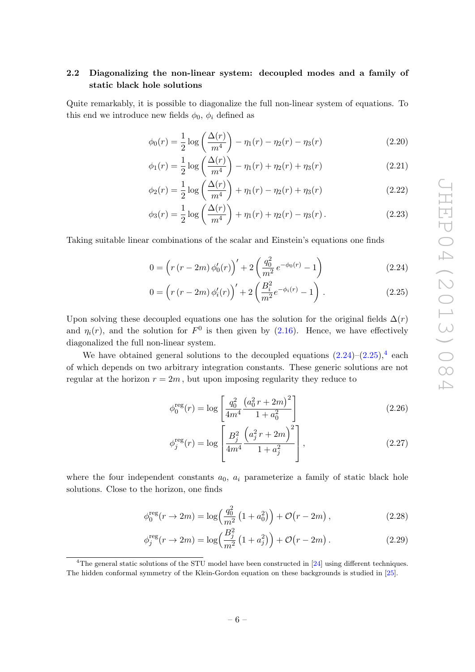# <span id="page-7-0"></span>2.2 Diagonalizing the non-linear system: decoupled modes and a family of static black hole solutions

Quite remarkably, it is possible to diagonalize the full non-linear system of equations. To this end we introduce new fields  $\phi_0$ ,  $\phi_i$  defined as

<span id="page-7-4"></span>
$$
\phi_0(r) = \frac{1}{2} \log \left( \frac{\Delta(r)}{m^4} \right) - \eta_1(r) - \eta_2(r) - \eta_3(r) \tag{2.20}
$$

$$
\phi_1(r) = \frac{1}{2} \log \left( \frac{\Delta(r)}{m^4} \right) - \eta_1(r) + \eta_2(r) + \eta_3(r) \tag{2.21}
$$

$$
\phi_2(r) = \frac{1}{2} \log \left( \frac{\Delta(r)}{m^4} \right) + \eta_1(r) - \eta_2(r) + \eta_3(r) \tag{2.22}
$$

<span id="page-7-5"></span>
$$
\phi_3(r) = \frac{1}{2} \log \left( \frac{\Delta(r)}{m^4} \right) + \eta_1(r) + \eta_2(r) - \eta_3(r). \tag{2.23}
$$

Taking suitable linear combinations of the scalar and Einstein's equations one finds

<span id="page-7-1"></span>
$$
0 = \left(r\left(r - 2m\right)\phi_0'(r)\right)' + 2\left(\frac{q_0^2}{m^2}e^{-\phi_0(r)} - 1\right) \tag{2.24}
$$

<span id="page-7-2"></span>
$$
0 = \left(r\left(r - 2m\right)\phi_i'(r)\right)' + 2\left(\frac{B_i^2}{m^2}e^{-\phi_i(r)} - 1\right). \tag{2.25}
$$

Upon solving these decoupled equations one has the solution for the original fields  $\Delta(r)$ and  $\eta_i(r)$ , and the solution for  $F^0$  is then given by [\(2.16\)](#page-6-0). Hence, we have effectively diagonalized the full non-linear system.

We have obtained general solutions to the decoupled equations  $(2.24)$ – $(2.25)$ ,<sup>[4](#page-7-3)</sup> each of which depends on two arbitrary integration constants. These generic solutions are not regular at the horizon  $r = 2m$ , but upon imposing regularity they reduce to

<span id="page-7-6"></span>
$$
\phi_0^{\text{reg}}(r) = \log \left[ \frac{q_0^2}{4m^4} \frac{\left( a_0^2 r + 2m \right)^2}{1 + a_0^2} \right] \tag{2.26}
$$

<span id="page-7-7"></span>
$$
\phi_j^{\text{reg}}(r) = \log \left[ \frac{B_j^2}{4m^4} \frac{\left( a_j^2 r + 2m \right)^2}{1 + a_j^2} \right],\tag{2.27}
$$

where the four independent constants  $a_0$ ,  $a_i$  parameterize a family of static black hole solutions. Close to the horizon, one finds

$$
\phi_0^{\text{reg}}(r \to 2m) = \log\left(\frac{q_0^2}{m^2} \left(1 + a_0^2\right)\right) + \mathcal{O}\left(r - 2m\right),\tag{2.28}
$$

$$
\phi_j^{\text{reg}}(r \to 2m) = \log\left(\frac{B_j^2}{m^2} \left(1 + a_j^2\right)\right) + \mathcal{O}\left(r - 2m\right). \tag{2.29}
$$

<span id="page-7-3"></span><sup>&</sup>lt;sup>4</sup>The general static solutions of the STU model have been constructed in [\[24\]](#page-30-2) using different techniques. The hidden conformal symmetry of the Klein-Gordon equation on these backgrounds is studied in [\[25\]](#page-30-3).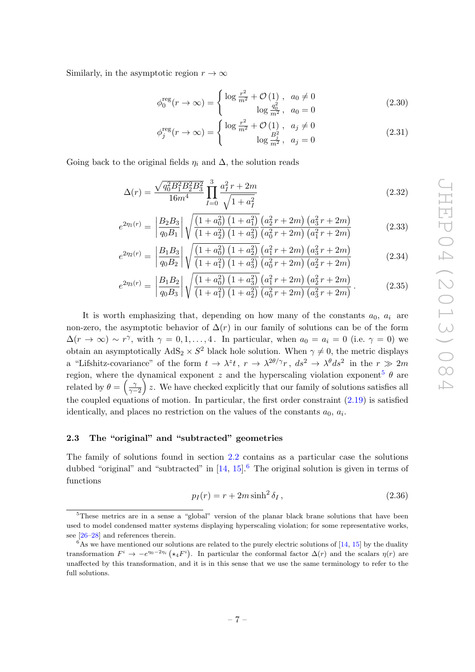Similarly, in the asymptotic region  $r \to \infty$ 

$$
\phi_0^{\text{reg}}(r \to \infty) = \begin{cases} \log \frac{r^2}{m^2} + \mathcal{O}(1) , & a_0 \neq 0 \\ \log \frac{q_0^2}{m^2} , & a_0 = 0 \end{cases}
$$
(2.30)

<span id="page-8-3"></span>
$$
\phi_j^{\text{reg}}(r \to \infty) = \begin{cases} \log \frac{r^2}{m^2} + \mathcal{O}(1), & a_j \neq 0 \\ \log \frac{B_j^2}{m^2}, & a_j = 0 \end{cases}
$$
(2.31)

Going back to the original fields  $\eta_i$  and  $\Delta$ , the solution reads

$$
\Delta(r) = \frac{\sqrt{q_0^2 B_1^2 B_2^2 B_3^2}}{16m^4} \prod_{I=0}^3 \frac{a_I^2 r + 2m}{\sqrt{1 + a_I^2}}
$$
\n(2.32)

$$
e^{2\eta_1(r)} = \left| \frac{B_2 B_3}{q_0 B_1} \right| \sqrt{\frac{\left(1 + a_0^2\right)\left(1 + a_1^2\right)}{\left(1 + a_2^2\right)\left(1 + a_3^2\right)} \frac{\left(a_2^2 r + 2m\right)\left(a_3^2 r + 2m\right)}{\left(a_0^2 r + 2m\right)\left(a_1^2 r + 2m\right)}} \tag{2.33}
$$

$$
e^{2\eta_2(r)} = \left| \frac{B_1 B_3}{q_0 B_2} \right| \sqrt{\frac{\left(1 + a_0^2\right) \left(1 + a_2^2\right)}{\left(1 + a_1^2\right) \left(1 + a_3^2\right)} \frac{\left(a_1^2 r + 2m\right) \left(a_3^2 r + 2m\right)}{\left(a_0^2 r + 2m\right) \left(a_2^2 r + 2m\right)}} \tag{2.34}
$$

<span id="page-8-4"></span>
$$
e^{2\eta_3(r)} = \left| \frac{B_1 B_2}{q_0 B_3} \right| \sqrt{\frac{\left(1 + a_0^2\right) \left(1 + a_3^2\right)}{\left(1 + a_1^2\right) \left(1 + a_2^2\right)} \frac{\left(a_1^2 r + 2m\right) \left(a_2^2 r + 2m\right)}{\left(a_0^2 r + 2m\right) \left(a_3^2 r + 2m\right)}}.
$$
\n(2.35)

It is worth emphasizing that, depending on how many of the constants  $a_0, a_i$  are non-zero, the asymptotic behavior of  $\Delta(r)$  in our family of solutions can be of the form  $\Delta(r \to \infty) \sim r^{\gamma}$ , with  $\gamma = 0, 1, ..., 4$ . In particular, when  $a_0 = a_i = 0$  (i.e.  $\gamma = 0$ ) we obtain an asymptotically  $AdS_2 \times S^2$  black hole solution. When  $\gamma \neq 0$ , the metric displays a "Lifshitz-covariance" of the form  $t \to \lambda^z t$ ,  $r \to \lambda^{2\theta/\gamma} r$ ,  $ds^2 \to \lambda^{\theta} ds^2$  in the  $r \gg 2m$ region, where the dynamical exponent z and the hyperscaling violation exponent<sup>[5](#page-8-1)</sup>  $\theta$  are related by  $\theta = \left(\frac{\gamma}{\gamma - 1}\right)$  $\left(\frac{\gamma}{\gamma-2}\right)$  z. We have checked explicitly that our family of solutions satisfies all the coupled equations of motion. In particular, the first order constraint  $(2.19)$  is satisfied identically, and places no restriction on the values of the constants  $a_0, a_i$ .

#### <span id="page-8-0"></span>2.3 The "original" and "subtracted" geometries

The family of solutions found in section [2.2](#page-7-0) contains as a particular case the solutions dubbed "original" and "subtracted" in  $[14, 15]$  $[14, 15]$  $[14, 15]$ .<sup>[6](#page-8-2)</sup> The original solution is given in terms of functions

$$
p_I(r) = r + 2m \sinh^2 \delta_I, \qquad (2.36)
$$

<span id="page-8-1"></span><sup>&</sup>lt;sup>5</sup>These metrics are in a sense a "global" version of the planar black brane solutions that have been used to model condensed matter systems displaying hyperscaling violation; for some representative works, see [\[26–](#page-30-4)[28\]](#page-30-5) and references therein.

<span id="page-8-2"></span> $6$ As we have mentioned our solutions are related to the purely electric solutions of [\[14,](#page-29-8) [15\]](#page-29-9) by the duality transformation  $F^i \to -e^{\eta_0-2\eta_i} (\star_4 F^i)$ . In particular the conformal factor  $\Delta(r)$  and the scalars  $\eta(r)$  are unaffected by this transformation, and it is in this sense that we use the same terminology to refer to the full solutions.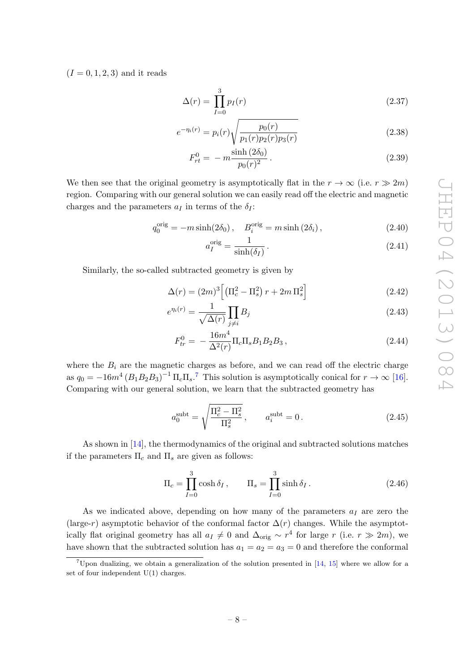$(I = 0, 1, 2, 3)$  and it reads

$$
\Delta(r) = \prod_{I=0}^{3} p_I(r) \tag{2.37}
$$

$$
e^{-\eta_i(r)} = p_i(r)\sqrt{\frac{p_0(r)}{p_1(r)p_2(r)p_3(r)}}
$$
\n(2.38)

$$
F_{rt}^0 = -m \frac{\sinh(2\delta_0)}{p_0(r)^2}.
$$
\n(2.39)

We then see that the original geometry is asymptotically flat in the  $r \to \infty$  (i.e.  $r \gg 2m$ ) region. Comparing with our general solution we can easily read off the electric and magnetic charges and the parameters  $a_I$  in terms of the  $\delta_I$ :

$$
q_0^{\text{orig}} = -m \sinh(2\delta_0), \quad B_i^{\text{orig}} = m \sinh(2\delta_i),
$$
 (2.40)

<span id="page-9-2"></span><span id="page-9-1"></span>
$$
a_I^{\text{orig}} = \frac{1}{\sinh(\delta_I)}.
$$
\n(2.41)

Similarly, the so-called subtracted geometry is given by

$$
\Delta(r) = (2m)^3 \left[ \left( \Pi_c^2 - \Pi_s^2 \right) r + 2m \, \Pi_s^2 \right] \tag{2.42}
$$

$$
e^{\eta_i(r)} = \frac{1}{\sqrt{\Delta(r)}} \prod_{j \neq i} B_j \tag{2.43}
$$

$$
F_{tr}^{0} = -\frac{16m^{4}}{\Delta^{2}(r)} \Pi_{c} \Pi_{s} B_{1} B_{2} B_{3}, \qquad (2.44)
$$

where the  $B_i$  are the magnetic charges as before, and we can read off the electric charge as  $q_0 = -16m^4 (B_1B_2B_3)^{-1} \Pi_c\Pi_s$ .<sup>[7](#page-9-0)</sup> This solution is asymptotically conical for  $r \to \infty$  [\[16\]](#page-29-10). Comparing with our general solution, we learn that the subtracted geometry has

$$
a_0^{\text{subt}} = \sqrt{\frac{\Pi_c^2 - \Pi_s^2}{\Pi_s^2}}, \qquad a_i^{\text{subt}} = 0.
$$
 (2.45)

As shown in [\[14\]](#page-29-8), the thermodynamics of the original and subtracted solutions matches if the parameters  $\Pi_c$  and  $\Pi_s$  are given as follows:

$$
\Pi_c = \prod_{I=0}^3 \cosh \delta_I, \qquad \Pi_s = \prod_{I=0}^3 \sinh \delta_I.
$$
 (2.46)

As we indicated above, depending on how many of the parameters  $a_I$  are zero the (large-r) asymptotic behavior of the conformal factor  $\Delta(r)$  changes. While the asymptotically flat original geometry has all  $a_I \neq 0$  and  $\Delta_{\text{orig}} \sim r^4$  for large r (i.e.  $r \gg 2m$ ), we have shown that the subtracted solution has  $a_1 = a_2 = a_3 = 0$  and therefore the conformal

<span id="page-9-0"></span><sup>&</sup>lt;sup>7</sup>Upon dualizing, we obtain a generalization of the solution presented in  $[14, 15]$  $[14, 15]$  $[14, 15]$  where we allow for a set of four independent U(1) charges.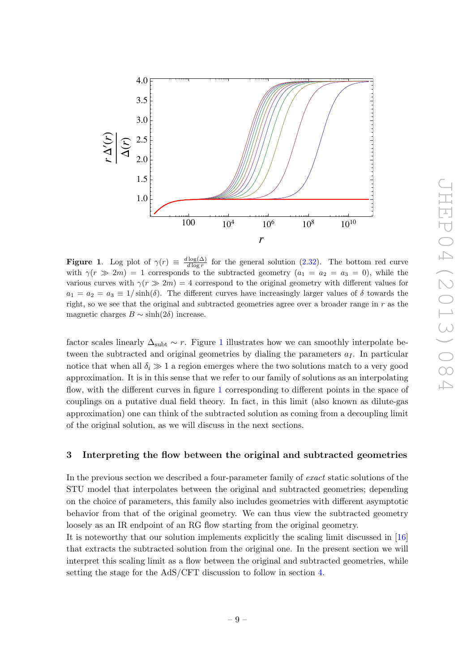

<span id="page-10-1"></span>**Figure 1.** Log plot of  $\gamma(r) \equiv \frac{d \log(\Delta)}{d \log r}$  $\frac{\log(\Delta)}{d \log r}$  for the general solution [\(2.32\)](#page-8-3). The bottom red curve with  $\gamma(r \gg 2m) = 1$  corresponds to the subtracted geometry  $(a_1 = a_2 = a_3 = 0)$ , while the various curves with  $\gamma(r \gg 2m) = 4$  correspond to the original geometry with different values for  $a_1 = a_2 = a_3 \equiv 1/\sinh(\delta)$ . The different curves have increasingly larger values of  $\delta$  towards the right, so we see that the original and subtracted geometries agree over a broader range in r as the magnetic charges  $B \sim \sinh(2\delta)$  increase.

factor scales linearly  $\Delta_{subt} \sim r$ . Figure [1](#page-10-1) illustrates how we can smoothly interpolate between the subtracted and original geometries by dialing the parameters  $a_I$ . In particular notice that when all  $\delta_i \gg 1$  a region emerges where the two solutions match to a very good approximation. It is in this sense that we refer to our family of solutions as an interpolating flow, with the different curves in figure [1](#page-10-1) corresponding to different points in the space of couplings on a putative dual field theory. In fact, in this limit (also known as dilute-gas approximation) one can think of the subtracted solution as coming from a decoupling limit of the original solution, as we will discuss in the next sections.

## <span id="page-10-0"></span>3 Interpreting the flow between the original and subtracted geometries

In the previous section we described a four-parameter family of exact static solutions of the STU model that interpolates between the original and subtracted geometries; depending on the choice of parameters, this family also includes geometries with different asymptotic behavior from that of the original geometry. We can thus view the subtracted geometry loosely as an IR endpoint of an RG flow starting from the original geometry.

It is noteworthy that our solution implements explicitly the scaling limit discussed in [\[16\]](#page-29-10) that extracts the subtracted solution from the original one. In the present section we will interpret this scaling limit as a flow between the original and subtracted geometries, while setting the stage for the AdS/CFT discussion to follow in section [4.](#page-15-0)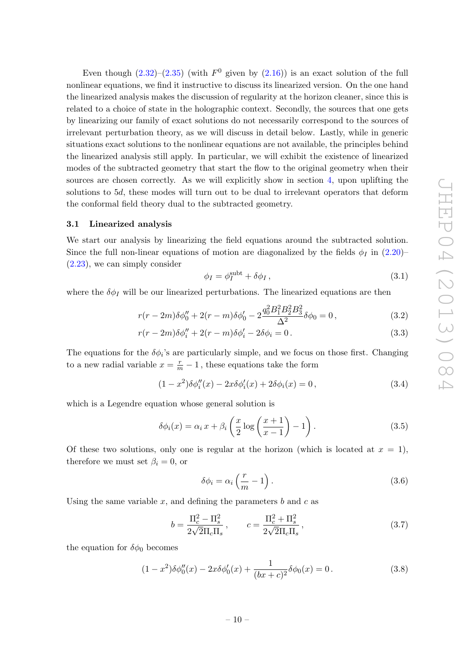Even though  $(2.32)$ – $(2.35)$  (with  $F^0$  given by  $(2.16)$ ) is an exact solution of the full nonlinear equations, we find it instructive to discuss its linearized version. On the one hand the linearized analysis makes the discussion of regularity at the horizon cleaner, since this is related to a choice of state in the holographic context. Secondly, the sources that one gets by linearizing our family of exact solutions do not necessarily correspond to the sources of irrelevant perturbation theory, as we will discuss in detail below. Lastly, while in generic situations exact solutions to the nonlinear equations are not available, the principles behind the linearized analysis still apply. In particular, we will exhibit the existence of linearized modes of the subtracted geometry that start the flow to the original geometry when their sources are chosen correctly. As we will explicitly show in section [4,](#page-15-0) upon uplifting the solutions to 5d, these modes will turn out to be dual to irrelevant operators that deform the conformal field theory dual to the subtracted geometry.

#### <span id="page-11-0"></span>3.1 Linearized analysis

We start our analysis by linearizing the field equations around the subtracted solution. Since the full non-linear equations of motion are diagonalized by the fields  $\phi_I$  in [\(2.20\)](#page-7-4)– [\(2.23\)](#page-7-5), we can simply consider

$$
\phi_I = \phi_I^{\text{subt}} + \delta \phi_I \,,\tag{3.1}
$$

where the  $\delta \phi_I$  will be our linearized perturbations. The linearized equations are then

$$
r(r-2m)\delta\phi_0'' + 2(r-m)\delta\phi_0' - 2\frac{q_0^2 B_1^2 B_2^2 B_3^2}{\Delta^2}\delta\phi_0 = 0, \qquad (3.2)
$$

$$
r(r - 2m)\delta\phi_i'' + 2(r - m)\delta\phi_i' - 2\delta\phi_i = 0.
$$
\n(3.3)

The equations for the  $\delta\phi_i$ 's are particularly simple, and we focus on those first. Changing to a new radial variable  $x = \frac{r}{m} - 1$ , these equations take the form

$$
(1 - x^2)\delta\phi_i''(x) - 2x\delta\phi_i'(x) + 2\delta\phi_i(x) = 0,
$$
\n(3.4)

which is a Legendre equation whose general solution is

$$
\delta\phi_i(x) = \alpha_i x + \beta_i \left(\frac{x}{2} \log \left(\frac{x+1}{x-1}\right) - 1\right). \tag{3.5}
$$

Of these two solutions, only one is regular at the horizon (which is located at  $x = 1$ ), therefore we must set  $\beta_i = 0$ , or

<span id="page-11-1"></span>
$$
\delta\phi_i = \alpha_i \left(\frac{r}{m} - 1\right). \tag{3.6}
$$

Using the same variable  $x$ , and defining the parameters  $b$  and  $c$  as

$$
b = \frac{\Pi_c^2 - \Pi_s^2}{2\sqrt{2}\Pi_c\Pi_s}, \qquad c = \frac{\Pi_c^2 + \Pi_s^2}{2\sqrt{2}\Pi_c\Pi_s},
$$
\n(3.7)

the equation for  $\delta\phi_0$  becomes

$$
(1 - x2)\delta\phi_0''(x) - 2x\delta\phi_0'(x) + \frac{1}{(bx + c)^2}\delta\phi_0(x) = 0.
$$
 (3.8)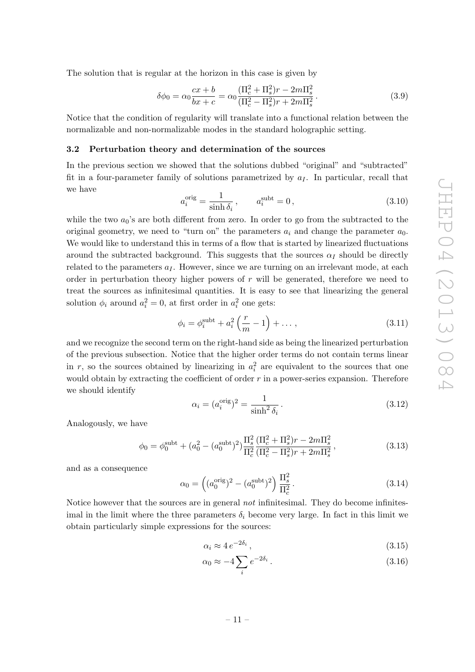The solution that is regular at the horizon in this case is given by

<span id="page-12-1"></span>
$$
\delta\phi_0 = \alpha_0 \frac{cx + b}{bx + c} = \alpha_0 \frac{(\Pi_c^2 + \Pi_s^2)r - 2m\Pi_s^2}{(\Pi_c^2 - \Pi_s^2)r + 2m\Pi_s^2}.
$$
\n(3.9)

Notice that the condition of regularity will translate into a functional relation between the normalizable and non-normalizable modes in the standard holographic setting.

#### <span id="page-12-0"></span>3.2 Perturbation theory and determination of the sources

In the previous section we showed that the solutions dubbed "original" and "subtracted" fit in a four-parameter family of solutions parametrized by  $a_I$ . In particular, recall that we have

$$
a_i^{\text{orig}} = \frac{1}{\sinh \delta_i}, \qquad a_i^{\text{subt}} = 0, \tag{3.10}
$$

while the two  $a_0$ 's are both different from zero. In order to go from the subtracted to the original geometry, we need to "turn on" the parameters  $a_i$  and change the parameter  $a_0$ . We would like to understand this in terms of a flow that is started by linearized fluctuations around the subtracted background. This suggests that the sources  $\alpha_I$  should be directly related to the parameters  $a_I$ . However, since we are turning on an irrelevant mode, at each order in perturbation theory higher powers of  $r$  will be generated, therefore we need to treat the sources as infinitesimal quantities. It is easy to see that linearizing the general solution  $\phi_i$  around  $a_i^2 = 0$ , at first order in  $a_i^2$  one gets:

$$
\phi_i = \phi_i^{\text{subt}} + a_i^2 \left( \frac{r}{m} - 1 \right) + \dots, \tag{3.11}
$$

and we recognize the second term on the right-hand side as being the linearized perturbation of the previous subsection. Notice that the higher order terms do not contain terms linear in r, so the sources obtained by linearizing in  $a_i^2$  are equivalent to the sources that one would obtain by extracting the coefficient of order  $r$  in a power-series expansion. Therefore we should identify

<span id="page-12-2"></span>
$$
\alpha_i = (a_i^{\text{orig}})^2 = \frac{1}{\sinh^2 \delta_i}.
$$
\n(3.12)

Analogously, we have

<span id="page-12-3"></span>
$$
\phi_0 = \phi_0^{\text{subt}} + (a_0^2 - (a_0^{\text{subt}})^2) \frac{\Pi_s^2}{\Pi_c^2} \frac{(\Pi_c^2 + \Pi_s^2)r - 2m\Pi_s^2}{(\Pi_c^2 - \Pi_s^2)r + 2m\Pi_s^2},
$$
\n(3.13)

and as a consequence

$$
\alpha_0 = \left( (a_0^{\text{orig}})^2 - (a_0^{\text{subt}})^2 \right) \frac{\Pi_s^2}{\Pi_c^2}.
$$
\n(3.14)

Notice however that the sources are in general *not* infinitesimal. They do become infinitesimal in the limit where the three parameters  $\delta_i$  become very large. In fact in this limit we obtain particularly simple expressions for the sources:

$$
\alpha_i \approx 4 e^{-2\delta_i},\tag{3.15}
$$

$$
\alpha_0 \approx -4 \sum_i e^{-2\delta_i} \,. \tag{3.16}
$$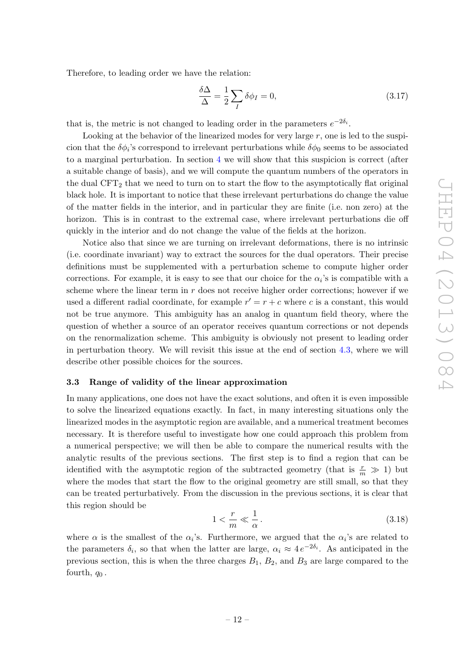Therefore, to leading order we have the relation:

$$
\frac{\delta \Delta}{\Delta} = \frac{1}{2} \sum_{I} \delta \phi_I = 0, \tag{3.17}
$$

that is, the metric is not changed to leading order in the parameters  $e^{-2\delta_i}$ .

Looking at the behavior of the linearized modes for very large r, one is led to the suspicion that the  $\delta\phi_i$ 's correspond to irrelevant perturbations while  $\delta\phi_0$  seems to be associated to a marginal perturbation. In section [4](#page-15-0) we will show that this suspicion is correct (after a suitable change of basis), and we will compute the quantum numbers of the operators in the dual  $CFT<sub>2</sub>$  that we need to turn on to start the flow to the asymptotically flat original black hole. It is important to notice that these irrelevant perturbations do change the value of the matter fields in the interior, and in particular they are finite (i.e. non zero) at the horizon. This is in contrast to the extremal case, where irrelevant perturbations die off quickly in the interior and do not change the value of the fields at the horizon.

Notice also that since we are turning on irrelevant deformations, there is no intrinsic (i.e. coordinate invariant) way to extract the sources for the dual operators. Their precise definitions must be supplemented with a perturbation scheme to compute higher order corrections. For example, it is easy to see that our choice for the  $\alpha_i$ 's is compatible with a scheme where the linear term in  $r$  does not receive higher order corrections; however if we used a different radial coordinate, for example  $r' = r + c$  where c is a constant, this would not be true anymore. This ambiguity has an analog in quantum field theory, where the question of whether a source of an operator receives quantum corrections or not depends on the renormalization scheme. This ambiguity is obviously not present to leading order in perturbation theory. We will revisit this issue at the end of section [4.3,](#page-18-0) where we will describe other possible choices for the sources.

#### <span id="page-13-0"></span>3.3 Range of validity of the linear approximation

In many applications, one does not have the exact solutions, and often it is even impossible to solve the linearized equations exactly. In fact, in many interesting situations only the linearized modes in the asymptotic region are available, and a numerical treatment becomes necessary. It is therefore useful to investigate how one could approach this problem from a numerical perspective; we will then be able to compare the numerical results with the analytic results of the previous sections. The first step is to find a region that can be identified with the asymptotic region of the subtracted geometry (that is  $\frac{r}{m} \gg 1$ ) but where the modes that start the flow to the original geometry are still small, so that they can be treated perturbatively. From the discussion in the previous sections, it is clear that this region should be

<span id="page-13-1"></span>
$$
1 < \frac{r}{m} \ll \frac{1}{\alpha} \,. \tag{3.18}
$$

where  $\alpha$  is the smallest of the  $\alpha_i$ 's. Furthermore, we argued that the  $\alpha_i$ 's are related to the parameters  $\delta_i$ , so that when the latter are large,  $\alpha_i \approx 4 e^{-2\delta_i}$ . As anticipated in the previous section, this is when the three charges  $B_1$ ,  $B_2$ , and  $B_3$  are large compared to the fourth,  $q_0$ .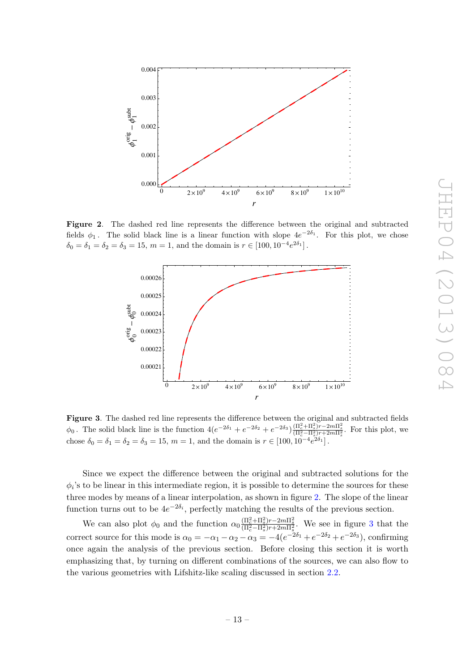

Figure 2. The dashed red line represents the difference between the original and subtracted fields  $\phi_1$ . The solid black line is a linear function with slope  $4e^{-2\delta_1}$ . For this plot, we chose  $\delta_0 = \delta_1 = \delta_2 = \delta_3 = 15, m = 1,$  and the domain is  $r \in [100, 10^{-4} e^{2\delta_1}]$ .

<span id="page-14-0"></span>

<span id="page-14-1"></span>Figure 3. The dashed red line represents the difference between the original and subtracted fields  $\phi_0$ . The solid black line is the function  $4(e^{-2\delta_1}+e^{-2\delta_2}+e^{-2\delta_3})\frac{(\Pi_c^2+\Pi_s^2)r-2m\Pi_s^2}{(\Pi_c^2-\Pi_s^2)r+2m\Pi_s^2}$ . For this plot, we chose  $\delta_0 = \delta_1 = \delta_2 = \delta_3 = 15$ ,  $m = 1$ , and the domain is  $r \in [100, 10^{-4} e^{2\delta_1}]$ .

Since we expect the difference between the original and subtracted solutions for the  $\phi_i$ 's to be linear in this intermediate region, it is possible to determine the sources for these three modes by means of a linear interpolation, as shown in figure [2.](#page-14-0) The slope of the linear function turns out to be  $4e^{-2\delta_i}$ , perfectly matching the results of the previous section.

We can also plot  $\phi_0$  and the function  $\alpha_0 \frac{(\Pi_c^2 + \Pi_s^2)r - 2m\Pi_s^2}{(\Pi_c^2 - \Pi_s^2)r + 2m\Pi_s^2}$ . We see in figure [3](#page-14-1) that the correct source for this mode is  $\alpha_0 = -\alpha_1 - \alpha_2 - \alpha_3 = -4(e^{-2\delta_1} + e^{-2\delta_2} + e^{-2\delta_3})$ , confirming once again the analysis of the previous section. Before closing this section it is worth emphasizing that, by turning on different combinations of the sources, we can also flow to the various geometries with Lifshitz-like scaling discussed in section [2.2.](#page-7-0)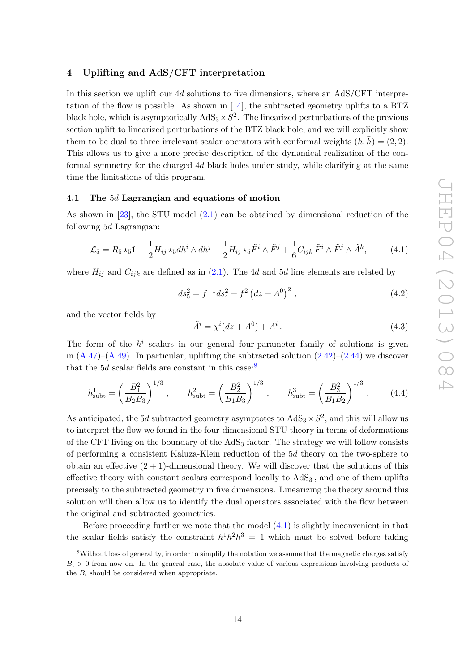# <span id="page-15-0"></span>4 Uplifting and AdS/CFT interpretation

In this section we uplift our 4d solutions to five dimensions, where an AdS/CFT interpretation of the flow is possible. As shown in  $[14]$ , the subtracted geometry uplifts to a BTZ black hole, which is asymptotically  $AdS_3 \times S^2$ . The linearized perturbations of the previous section uplift to linearized perturbations of the BTZ black hole, and we will explicitly show them to be dual to three irrelevant scalar operators with conformal weights  $(h, h) = (2, 2)$ . This allows us to give a more precise description of the dynamical realization of the conformal symmetry for the charged 4d black holes under study, while clarifying at the same time the limitations of this program.

# <span id="page-15-1"></span>4.1 The 5d Lagrangian and equations of motion

As shown in [\[23\]](#page-30-1), the STU model [\(2.1\)](#page-4-2) can be obtained by dimensional reduction of the following 5d Lagrangian:

<span id="page-15-3"></span>
$$
\mathcal{L}_5 = R_5 \star_5 \mathbb{1} - \frac{1}{2} H_{ij} \star_5 dh^i \wedge dh^j - \frac{1}{2} H_{ij} \star_5 \tilde{F}^i \wedge \tilde{F}^j + \frac{1}{6} C_{ijk} \tilde{F}^i \wedge \tilde{F}^j \wedge \tilde{A}^k, \tag{4.1}
$$

where  $H_{ij}$  and  $C_{ijk}$  are defined as in [\(2.1\)](#page-4-2). The 4d and 5d line elements are related by

<span id="page-15-4"></span>
$$
ds_5^2 = f^{-1}ds_4^2 + f^2\left(dz + A^0\right)^2\,,\tag{4.2}
$$

and the vector fields by

$$
\tilde{A}^i = \chi^i (dz + A^0) + A^i. \tag{4.3}
$$

The form of the  $h^i$  scalars in our general four-parameter family of solutions is given in  $(A.47)$ – $(A.49)$ . In particular, uplifting the subtracted solution  $(2.42)$ – $(2.44)$  we discover that the 5*d* scalar fields are constant in this case:<sup>[8](#page-15-2)</sup>

<span id="page-15-5"></span>
$$
h_{\text{subt}}^1 = \left(\frac{B_1^2}{B_2 B_3}\right)^{1/3}, \qquad h_{\text{subt}}^2 = \left(\frac{B_2^2}{B_1 B_3}\right)^{1/3}, \qquad h_{\text{subt}}^3 = \left(\frac{B_3^2}{B_1 B_2}\right)^{1/3}.
$$
 (4.4)

As anticipated, the 5d subtracted geometry asymptotes to  $AdS_3 \times S^2$ , and this will allow us to interpret the flow we found in the four-dimensional STU theory in terms of deformations of the CFT living on the boundary of the  $AdS_3$  factor. The strategy we will follow consists of performing a consistent Kaluza-Klein reduction of the 5d theory on the two-sphere to obtain an effective  $(2 + 1)$ -dimensional theory. We will discover that the solutions of this effective theory with constant scalars correspond locally to  $AdS<sub>3</sub>$ , and one of them uplifts precisely to the subtracted geometry in five dimensions. Linearizing the theory around this solution will then allow us to identify the dual operators associated with the flow between the original and subtracted geometries.

Before proceeding further we note that the model  $(4.1)$  is slightly inconvenient in that the scalar fields satisfy the constraint  $h^1h^2h^3 = 1$  which must be solved before taking

<span id="page-15-2"></span><sup>&</sup>lt;sup>8</sup>Without loss of generality, in order to simplify the notation we assume that the magnetic charges satisfy  $B_i > 0$  from now on. In the general case, the absolute value of various expressions involving products of the  $B_i$  should be considered when appropriate.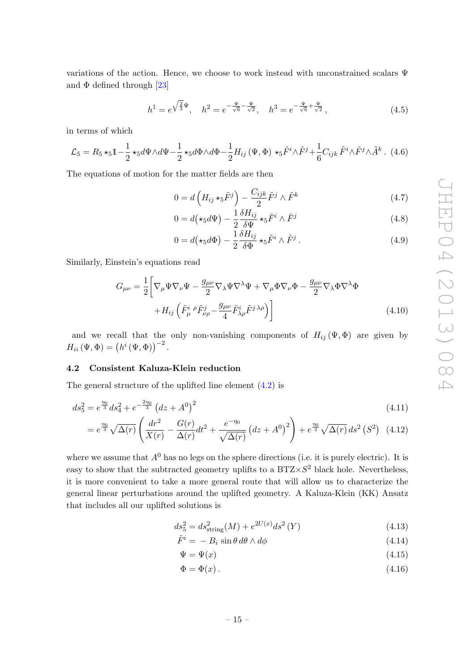variations of the action. Hence, we choose to work instead with unconstrained scalars Ψ and  $\Phi$  defined through [\[23\]](#page-30-1)

<span id="page-16-1"></span>
$$
h^{1} = e^{\sqrt{\frac{2}{3}}\Psi}, \quad h^{2} = e^{-\frac{\Psi}{\sqrt{6}} - \frac{\Phi}{\sqrt{2}}}, \quad h^{3} = e^{-\frac{\Psi}{\sqrt{6}} + \frac{\Phi}{\sqrt{2}}}, \tag{4.5}
$$

in terms of which

<span id="page-16-2"></span>
$$
\mathcal{L}_5 = R_5 \star_5 \mathbb{1} - \frac{1}{2} \star_5 d\Psi \wedge d\Psi - \frac{1}{2} \star_5 d\Phi \wedge d\Phi - \frac{1}{2} H_{ij} \left( \Psi, \Phi \right) \star_5 \tilde{F}^i \wedge \tilde{F}^j + \frac{1}{6} C_{ijk} \tilde{F}^i \wedge \tilde{F}^j \wedge \tilde{A}^k \,. \tag{4.6}
$$

The equations of motion for the matter fields are then

<span id="page-16-3"></span>
$$
0 = d\left(H_{ij}\star_5 \tilde{F}^j\right) - \frac{C_{ijk}}{2}\tilde{F}^j \wedge \tilde{F}^k
$$
\n(4.7)

<span id="page-16-5"></span><span id="page-16-4"></span>
$$
0 = d(\star_5 d\Psi) - \frac{1}{2} \frac{\delta H_{ij}}{\delta \Psi} \star_5 \tilde{F}^i \wedge \tilde{F}^j
$$
\n(4.8)

<span id="page-16-6"></span>
$$
0 = d(\star_5 d\Phi) - \frac{1}{2} \frac{\delta H_{ij}}{\delta \Phi} \star_5 \tilde{F}^i \wedge \tilde{F}^j.
$$
 (4.9)

Similarly, Einstein's equations read

$$
G_{\mu\nu} = \frac{1}{2} \left[ \nabla_{\mu} \Psi \nabla_{\nu} \Psi - \frac{g_{\mu\nu}}{2} \nabla_{\lambda} \Psi \nabla^{\lambda} \Psi + \nabla_{\mu} \Phi \nabla_{\nu} \Phi - \frac{g_{\mu\nu}}{2} \nabla_{\lambda} \Phi \nabla^{\lambda} \Phi \right. \\
\left. + H_{ij} \left( \tilde{F}_{\mu}^{i} \rho \tilde{F}_{\nu\rho}^{j} - \frac{g_{\mu\nu}}{4} \tilde{F}_{\lambda\rho}^{i} \tilde{F}^{j \lambda \rho} \right) \right]
$$
\n(4.10)

and we recall that the only non-vanishing components of  $H_{ij}(\Psi,\Phi)$  are given by  $H_{ii}(\Psi,\Phi)=\left(h^{i}(\Psi,\Phi)\right)^{-2}.$ 

#### <span id="page-16-0"></span>4.2 Consistent Kaluza-Klein reduction

The general structure of the uplifted line element [\(4.2\)](#page-15-4) is

$$
ds_5^2 = e^{\frac{\eta_0}{3}} ds_4^2 + e^{-\frac{2\eta_0}{3}} \left( dz + A^0 \right)^2 \tag{4.11}
$$

$$
= e^{\frac{\eta_0}{3}} \sqrt{\Delta(r)} \left( \frac{dr^2}{X(r)} - \frac{G(r)}{\Delta(r)} dt^2 + \frac{e^{-\eta_0}}{\sqrt{\Delta(r)}} \left( dz + A^0 \right)^2 \right) + e^{\frac{\eta_0}{3}} \sqrt{\Delta(r)} ds^2 \left( S^2 \right) (4.12)
$$

where we assume that  $A^0$  has no legs on the sphere directions (i.e. it is purely electric). It is easy to show that the subtracted geometry uplifts to a  $BTZ\times S^2$  black hole. Nevertheless, it is more convenient to take a more general route that will allow us to characterize the general linear perturbations around the uplifted geometry. A Kaluza-Klein (KK) Ansatz that includes all our uplifted solutions is

<span id="page-16-7"></span>
$$
ds_5^2 = ds_{\text{string}}^2(M) + e^{2U(x)}ds^2(Y)
$$
\n(4.13)

$$
\tilde{F}^i = -B_i \sin \theta \, d\theta \wedge d\phi \tag{4.14}
$$

$$
\Psi = \Psi(x) \tag{4.15}
$$

$$
\Phi = \Phi(x). \tag{4.16}
$$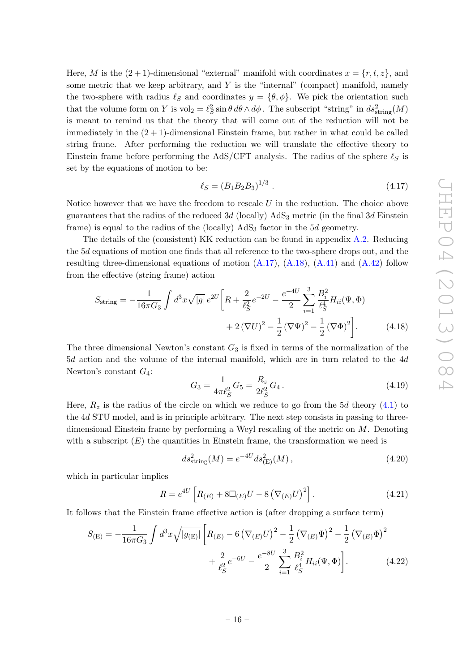Here, M is the  $(2 + 1)$ -dimensional "external" manifold with coordinates  $x = \{r, t, z\}$ , and some metric that we keep arbitrary, and  $Y$  is the "internal" (compact) manifold, namely the two-sphere with radius  $\ell_S$  and coordinates  $y = {\theta, \phi}$ . We pick the orientation such that the volume form on Y is  $vol_2 = \ell_S^2 \sin \theta \, d\theta \wedge d\phi$ . The subscript "string" in  $ds^2_{string}(M)$ is meant to remind us that the theory that will come out of the reduction will not be immediately in the  $(2 + 1)$ -dimensional Einstein frame, but rather in what could be called string frame. After performing the reduction we will translate the effective theory to Einstein frame before performing the AdS/CFT analysis. The radius of the sphere  $\ell_S$  is set by the equations of motion to be:

$$
\ell_S = (B_1 B_2 B_3)^{1/3} \tag{4.17}
$$

Notice however that we have the freedom to rescale  $U$  in the reduction. The choice above guarantees that the radius of the reduced  $3d$  (locally)  $AdS_3$  metric (in the final  $3d$  Einstein frame) is equal to the radius of the (locally)  $AdS_3$  factor in the 5d geometry.

The details of the (consistent) KK reduction can be found in appendix [A.2.](#page-25-0) Reducing the 5d equations of motion one finds that all reference to the two-sphere drops out, and the resulting three-dimensional equations of motion  $(A.17)$ ,  $(A.18)$ ,  $(A.41)$  and  $(A.42)$  follow from the effective (string frame) action

$$
S_{\text{string}} = -\frac{1}{16\pi G_3} \int d^3x \sqrt{|g|} e^{2U} \left[ R + \frac{2}{\ell_S^2} e^{-2U} - \frac{e^{-4U}}{2} \sum_{i=1}^3 \frac{B_i^2}{\ell_S^4} H_{ii}(\Psi, \Phi) + 2(\nabla U)^2 - \frac{1}{2} (\nabla \Psi)^2 - \frac{1}{2} (\nabla \Phi)^2 \right]. \tag{4.18}
$$

The three dimensional Newton's constant  $G_3$  is fixed in terms of the normalization of the 5d action and the volume of the internal manifold, which are in turn related to the 4d Newton's constant  $G_4$ :

$$
G_3 = \frac{1}{4\pi \ell_S^2} G_5 = \frac{R_z}{2\ell_S^2} G_4.
$$
\n(4.19)

Here,  $R_z$  is the radius of the circle on which we reduce to go from the 5d theory [\(4.1\)](#page-15-3) to the 4d STU model, and is in principle arbitrary. The next step consists in passing to threedimensional Einstein frame by performing a Weyl rescaling of the metric on  $M$ . Denoting with a subscript  $(E)$  the quantities in Einstein frame, the transformation we need is

<span id="page-17-0"></span>
$$
ds_{\text{string}}^2(M) = e^{-4U} ds_{\text{(E)}}^2(M) , \qquad (4.20)
$$

which in particular implies

$$
R = e^{4U} \left[ R_E + 8 \Box_{(E)} U - 8 \left( \nabla_{(E)} U \right)^2 \right]. \tag{4.21}
$$

It follows that the Einstein frame effective action is (after dropping a surface term)

$$
S_{\text{(E)}} = -\frac{1}{16\pi G_3} \int d^3x \sqrt{|g_{\text{(E)}}|} \left[ R_{(E)} - 6 \left( \nabla_{(E)} U \right)^2 - \frac{1}{2} \left( \nabla_{(E)} \Psi \right)^2 - \frac{1}{2} \left( \nabla_{(E)} \Phi \right)^2 + \frac{2}{\ell_S^2} e^{-6U} - \frac{e^{-8U}}{2} \sum_{i=1}^3 \frac{B_i^2}{\ell_S^4} H_{ii}(\Psi, \Phi) \right]. \tag{4.22}
$$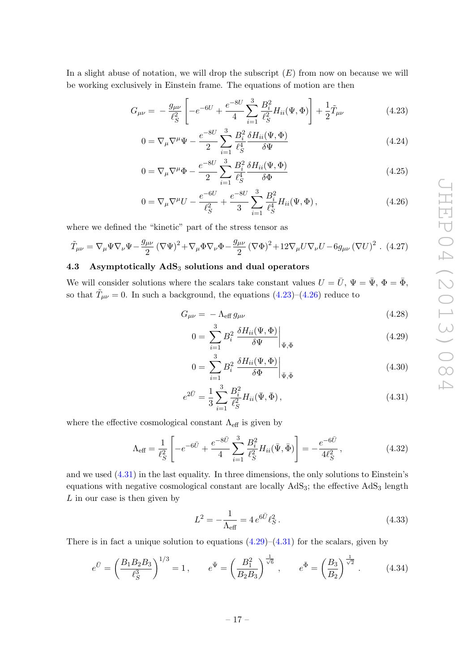In a slight abuse of notation, we will drop the subscript  $(E)$  from now on because we will be working exclusively in Einstein frame. The equations of motion are then

$$
G_{\mu\nu} = -\frac{g_{\mu\nu}}{\ell_S^2} \left[ -e^{-6U} + \frac{e^{-8U}}{4} \sum_{i=1}^3 \frac{B_i^2}{\ell_S^2} H_{ii}(\Psi, \Phi) \right] + \frac{1}{2} \tilde{T}_{\mu\nu}
$$
(4.23)

<span id="page-18-1"></span>
$$
0 = \nabla_{\mu} \nabla^{\mu} \Psi - \frac{e^{-8U}}{2} \sum_{i=1}^{3} \frac{B_i^2}{\ell_S^4} \frac{\delta H_{ii}(\Psi, \Phi)}{\delta \Psi}
$$
\n(4.24)

$$
0 = \nabla_{\mu} \nabla^{\mu} \Phi - \frac{e^{-8U}}{2} \sum_{i=1}^{3} \frac{B_i^2}{\ell_S^4} \frac{\delta H_{ii}(\Psi, \Phi)}{\delta \Phi}
$$
(4.25)

$$
0 = \nabla_{\mu} \nabla^{\mu} U - \frac{e^{-6U}}{\ell_S^2} + \frac{e^{-8U}}{3} \sum_{i=1}^3 \frac{B_i^2}{\ell_S^4} H_{ii}(\Psi, \Phi), \qquad (4.26)
$$

where we defined the "kinetic" part of the stress tensor as

$$
\tilde{T}_{\mu\nu} = \nabla_{\mu}\Psi\nabla_{\nu}\Psi - \frac{g_{\mu\nu}}{2}\left(\nabla\Psi\right)^2 + \nabla_{\mu}\Phi\nabla_{\nu}\Phi - \frac{g_{\mu\nu}}{2}\left(\nabla\Phi\right)^2 + 12\nabla_{\mu}U\nabla_{\nu}U - 6g_{\mu\nu}\left(\nabla U\right)^2. (4.27)
$$

# <span id="page-18-0"></span>4.3 Asymptotically  $AdS_3$  solutions and dual operators

We will consider solutions where the scalars take constant values  $U = \overline{U}$ ,  $\Psi = \overline{\Psi}$ ,  $\Phi = \overline{\Phi}$ , so that  $\tilde{T}_{\mu\nu} = 0$ . In such a background, the equations  $(4.23)$ – $(4.26)$  reduce to

<span id="page-18-2"></span>
$$
G_{\mu\nu} = -\Lambda_{\text{eff}} g_{\mu\nu} \tag{4.28}
$$

<span id="page-18-5"></span><span id="page-18-4"></span>
$$
0 = \sum_{i=1}^{3} B_i^2 \left. \frac{\delta H_{ii}(\Psi, \Phi)}{\delta \Psi} \right|_{\bar{\Psi}, \bar{\Phi}} \tag{4.29}
$$

<span id="page-18-3"></span>
$$
0 = \sum_{i=1}^{3} B_i^2 \left. \frac{\delta H_{ii}(\Psi, \Phi)}{\delta \Phi} \right|_{\bar{\Psi}, \bar{\Phi}} \tag{4.30}
$$

$$
e^{2\bar{U}} = \frac{1}{3} \sum_{i=1}^{3} \frac{B_i^2}{\ell_S^2} H_{ii}(\bar{\Psi}, \bar{\Phi}), \qquad (4.31)
$$

where the effective cosmological constant  $\Lambda_{\text{eff}}$  is given by

$$
\Lambda_{\text{eff}} = \frac{1}{\ell_S^2} \left[ -e^{-6\bar{U}} + \frac{e^{-8\bar{U}}}{4} \sum_{i=1}^3 \frac{B_i^2}{\ell_S^2} H_{ii}(\bar{\Psi}, \bar{\Phi}) \right] = -\frac{e^{-6\bar{U}}}{4\ell_S^2}, \tag{4.32}
$$

and we used [\(4.31\)](#page-18-3) in the last equality. In three dimensions, the only solutions to Einstein's equations with negative cosmological constant are locally  $AdS<sub>3</sub>$ ; the effective  $AdS<sub>3</sub>$  length  $L$  in our case is then given by

$$
L^{2} = -\frac{1}{\Lambda_{\text{eff}}} = 4 e^{6\bar{U}} \ell_{S}^{2}. \qquad (4.33)
$$

There is in fact a unique solution to equations  $(4.29)$ – $(4.31)$  for the scalars, given by

$$
e^{\bar{U}} = \left(\frac{B_1 B_2 B_3}{\ell_S^3}\right)^{1/3} = 1, \qquad e^{\bar{\Psi}} = \left(\frac{B_1^2}{B_2 B_3}\right)^{\frac{1}{\sqrt{6}}}, \qquad e^{\bar{\Phi}} = \left(\frac{B_3}{B_2}\right)^{\frac{1}{\sqrt{2}}}.
$$
 (4.34)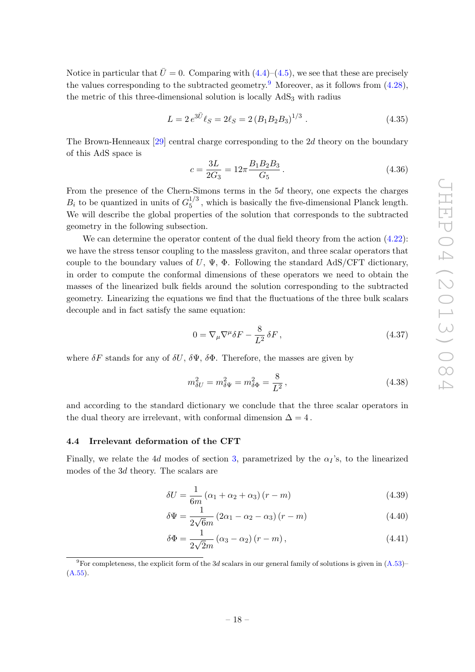Notice in particular that  $\bar{U}=0$ . Comparing with  $(4.4)-(4.5)$  $(4.4)-(4.5)$  $(4.4)-(4.5)$ , we see that these are precisely the values corresponding to the subtracted geometry.<sup>[9](#page-19-1)</sup> Moreover, as it follows from  $(4.28)$ , the metric of this three-dimensional solution is locally  $AdS<sub>3</sub>$  with radius

$$
L = 2 e^{3\bar{U}} \ell_S = 2\ell_S = 2 (B_1 B_2 B_3)^{1/3} . \tag{4.35}
$$

The Brown-Henneaux [\[29\]](#page-30-6) central charge corresponding to the 2d theory on the boundary of this AdS space is

<span id="page-19-2"></span>
$$
c = \frac{3L}{2G_3} = 12\pi \frac{B_1 B_2 B_3}{G_5} \,. \tag{4.36}
$$

From the presence of the Chern-Simons terms in the 5d theory, one expects the charges  $B_i$  to be quantized in units of  $G_5^{1/3}$  $_{5}^{1/3}$ , which is basically the five-dimensional Planck length. We will describe the global properties of the solution that corresponds to the subtracted geometry in the following subsection.

We can determine the operator content of the dual field theory from the action  $(4.22)$ : we have the stress tensor coupling to the massless graviton, and three scalar operators that couple to the boundary values of  $U, \Psi, \Phi$ . Following the standard AdS/CFT dictionary, in order to compute the conformal dimensions of these operators we need to obtain the masses of the linearized bulk fields around the solution corresponding to the subtracted geometry. Linearizing the equations we find that the fluctuations of the three bulk scalars decouple and in fact satisfy the same equation:

$$
0 = \nabla_{\mu} \nabla^{\mu} \delta F - \frac{8}{L^2} \delta F , \qquad (4.37)
$$

where  $\delta F$  stands for any of  $\delta U$ ,  $\delta \Psi$ ,  $\delta \Phi$ . Therefore, the masses are given by

$$
m_{\delta U}^2 = m_{\delta \Psi}^2 = m_{\delta \Phi}^2 = \frac{8}{L^2},\tag{4.38}
$$

and according to the standard dictionary we conclude that the three scalar operators in the dual theory are irrelevant, with conformal dimension  $\Delta = 4$ .

#### <span id="page-19-0"></span>4.4 Irrelevant deformation of the CFT

Finally, we relate the 4d modes of section [3,](#page-10-0) parametrized by the  $\alpha<sub>I</sub>$ 's, to the linearized modes of the 3d theory. The scalars are

$$
\delta U = \frac{1}{6m} \left( \alpha_1 + \alpha_2 + \alpha_3 \right) (r - m) \tag{4.39}
$$

$$
\delta\Psi = \frac{1}{2\sqrt{6}m} \left(2\alpha_1 - \alpha_2 - \alpha_3\right) \left(r - m\right) \tag{4.40}
$$

$$
\delta\Phi = \frac{1}{2\sqrt{2}m} \left( \alpha_3 - \alpha_2 \right) \left( r - m \right),\tag{4.41}
$$

<span id="page-19-1"></span><sup>9</sup>For completeness, the explicit form of the 3d scalars in our general family of solutions is given in  $(A.53)$ – [\(A.55\)](#page-28-4).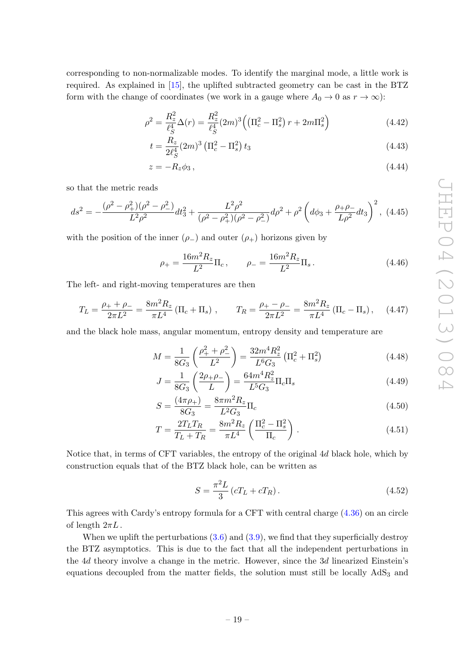corresponding to non-normalizable modes. To identify the marginal mode, a little work is required. As explained in [\[15\]](#page-29-9), the uplifted subtracted geometry can be cast in the BTZ form with the change of coordinates (we work in a gauge where  $A_0 \to 0$  as  $r \to \infty$ ):

$$
\rho^2 = \frac{R_z^2}{\ell_S^4} \Delta(r) = \frac{R_z^2}{\ell_S^4} (2m)^3 \left( \left( \Pi_c^2 - \Pi_s^2 \right) r + 2m \Pi_s^2 \right) \tag{4.42}
$$

$$
t = \frac{R_z}{2\ell_S^4} (2m)^3 \left(\Pi_c^2 - \Pi_s^2\right) t_3 \tag{4.43}
$$

$$
z = -R_z \phi_3, \qquad (4.44)
$$

so that the metric reads

$$
ds^{2} = -\frac{(\rho^{2} - \rho_{+}^{2})(\rho^{2} - \rho_{-}^{2})}{L^{2}\rho^{2}}dt_{3}^{2} + \frac{L^{2}\rho^{2}}{(\rho^{2} - \rho_{+}^{2})(\rho^{2} - \rho_{-}^{2})}d\rho^{2} + \rho^{2}\left(d\phi_{3} + \frac{\rho_{+}\rho_{-}}{L\rho^{2}}dt_{3}\right)^{2},
$$
(4.45)

with the position of the inner  $(\rho_{-})$  and outer  $(\rho_{+})$  horizons given by

$$
\rho_{+} = \frac{16m^2 R_z}{L^2} \Pi_c, \qquad \rho_{-} = \frac{16m^2 R_z}{L^2} \Pi_s. \tag{4.46}
$$

The left- and right-moving temperatures are then

$$
T_L = \frac{\rho_+ + \rho_-}{2\pi L^2} = \frac{8m^2 R_z}{\pi L^4} \left( \Pi_c + \Pi_s \right) , \qquad T_R = \frac{\rho_+ - \rho_-}{2\pi L^2} = \frac{8m^2 R_z}{\pi L^4} \left( \Pi_c - \Pi_s \right), \tag{4.47}
$$

and the black hole mass, angular momentum, entropy density and temperature are

$$
M = \frac{1}{8G_3} \left( \frac{\rho_+^2 + \rho_-^2}{L^2} \right) = \frac{32m^4 R_z^2}{L^6 G_3} \left( \Pi_c^2 + \Pi_s^2 \right) \tag{4.48}
$$

$$
J = \frac{1}{8G_3} \left( \frac{2\rho_+ \rho_-}{L} \right) = \frac{64m^4 R_z^2}{L^5 G_3} \Pi_c \Pi_s \tag{4.49}
$$

$$
S = \frac{(4\pi\rho_+)}{8G_3} = \frac{8\pi m^2 R_z}{L^2 G_3} \Pi_c
$$
\n(4.50)

$$
T = \frac{2T_L T_R}{T_L + T_R} = \frac{8m^2 R_z}{\pi L^4} \left(\frac{\Pi_c^2 - \Pi_s^2}{\Pi_c}\right). \tag{4.51}
$$

Notice that, in terms of CFT variables, the entropy of the original 4d black hole, which by construction equals that of the BTZ black hole, can be written as

$$
S = \frac{\pi^2 L}{3} (cT_L + cT_R). \tag{4.52}
$$

This agrees with Cardy's entropy formula for a CFT with central charge [\(4.36\)](#page-19-2) on an circle of length  $2\pi L$ .

When we uplift the perturbations  $(3.6)$  and  $(3.9)$ , we find that they superficially destroy the BTZ asymptotics. This is due to the fact that all the independent perturbations in the 4d theory involve a change in the metric. However, since the 3d linearized Einstein's equations decoupled from the matter fields, the solution must still be locally  $AdS<sub>3</sub>$  and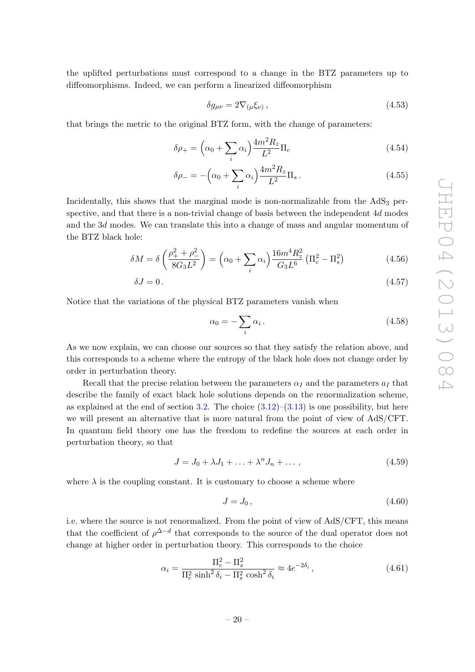the uplifted perturbations must correspond to a change in the BTZ parameters up to diffeomorphisms. Indeed, we can perform a linearized diffeomorphism

$$
\delta g_{\mu\nu} = 2 \nabla_{(\mu} \xi_{\nu)} \,, \tag{4.53}
$$

that brings the metric to the original BTZ form, with the change of parameters:

$$
\delta \rho_+ = \left(\alpha_0 + \sum_i \alpha_i\right) \frac{4m^2 R_z}{L^2} \Pi_c \tag{4.54}
$$

$$
\delta \rho_- = -\left(\alpha_0 + \sum_i \alpha_i\right) \frac{4m^2 R_z}{L^2} \Pi_s \,. \tag{4.55}
$$

Incidentally, this shows that the marginal mode is non-normalizable from the  $AdS<sub>3</sub>$  perspective, and that there is a non-trivial change of basis between the independent 4d modes and the 3d modes. We can translate this into a change of mass and angular momentum of the BTZ black hole:

$$
\delta M = \delta \left( \frac{\rho_+^2 + \rho_-^2}{8G_3 L^2} \right) = \left( \alpha_0 + \sum_i \alpha_i \right) \frac{16m^4 R_z^2}{G_3 L^6} \left( \Pi_c^2 - \Pi_s^2 \right) \tag{4.56}
$$

$$
\delta J = 0. \tag{4.57}
$$

Notice that the variations of the physical BTZ parameters vanish when

$$
\alpha_0 = -\sum_i \alpha_i \,. \tag{4.58}
$$

As we now explain, we can choose our sources so that they satisfy the relation above, and this corresponds to a scheme where the entropy of the black hole does not change order by order in perturbation theory.

Recall that the precise relation between the parameters  $\alpha_I$  and the parameters  $a_I$  that describe the family of exact black hole solutions depends on the renormalization scheme, as explained at the end of section [3.2.](#page-12-0) The choice  $(3.12)$ – $(3.13)$  is one possibility, but here we will present an alternative that is more natural from the point of view of AdS/CFT. In quantum field theory one has the freedom to redefine the sources at each order in perturbation theory, so that

$$
J = J_0 + \lambda J_1 + \ldots + \lambda^n J_n + \ldots, \qquad (4.59)
$$

where  $\lambda$  is the coupling constant. It is customary to choose a scheme where

$$
J = J_0, \tag{4.60}
$$

i.e. where the source is not renormalized. From the point of view of AdS/CFT, this means that the coefficient of  $\rho^{\Delta-d}$  that corresponds to the source of the dual operator does not change at higher order in perturbation theory. This corresponds to the choice

$$
\alpha_i = \frac{\Pi_c^2 - \Pi_s^2}{\Pi_c^2 \sinh^2 \delta_i - \Pi_s^2 \cosh^2 \delta_i} \approx 4e^{-2\delta_i},\qquad(4.61)
$$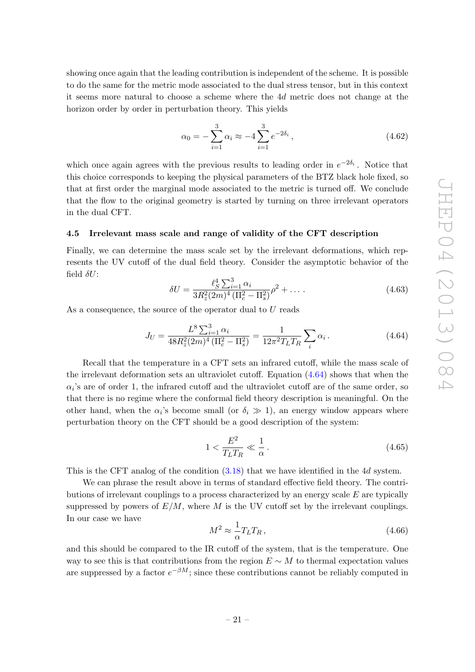showing once again that the leading contribution is independent of the scheme. It is possible to do the same for the metric mode associated to the dual stress tensor, but in this context it seems more natural to choose a scheme where the 4d metric does not change at the horizon order by order in perturbation theory. This yields

$$
\alpha_0 = -\sum_{i=1}^3 \alpha_i \approx -4 \sum_{i=1}^3 e^{-2\delta_i}, \qquad (4.62)
$$

which once again agrees with the previous results to leading order in  $e^{-2\delta_i}$ . Notice that this choice corresponds to keeping the physical parameters of the BTZ black hole fixed, so that at first order the marginal mode associated to the metric is turned off. We conclude that the flow to the original geometry is started by turning on three irrelevant operators in the dual CFT.

#### <span id="page-22-0"></span>4.5 Irrelevant mass scale and range of validity of the CFT description

Finally, we can determine the mass scale set by the irrelevant deformations, which represents the UV cutoff of the dual field theory. Consider the asymptotic behavior of the field  $\delta U$ :

$$
\delta U = \frac{\ell_S^4 \sum_{i=1}^3 \alpha_i}{3R_z^2 (2m)^4 \left(\Pi_c^2 - \Pi_s^2\right)} \rho^2 + \dots \,. \tag{4.63}
$$

As a consequence, the source of the operator dual to U reads

<span id="page-22-1"></span>
$$
J_U = \frac{L^8 \sum_{i=1}^3 \alpha_i}{48R_z^2 (2m)^4 \left(\Pi_c^2 - \Pi_s^2\right)} = \frac{1}{12\pi^2 T_L T_R} \sum_i \alpha_i \,. \tag{4.64}
$$

Recall that the temperature in a CFT sets an infrared cutoff, while the mass scale of the irrelevant deformation sets an ultraviolet cutoff. Equation [\(4.64\)](#page-22-1) shows that when the  $\alpha_i$ 's are of order 1, the infrared cutoff and the ultraviolet cutoff are of the same order, so that there is no regime where the conformal field theory description is meaningful. On the other hand, when the  $\alpha_i$ 's become small (or  $\delta_i \gg 1$ ), an energy window appears where perturbation theory on the CFT should be a good description of the system:

$$
1 < \frac{E^2}{T_L T_R} \ll \frac{1}{\alpha} \,. \tag{4.65}
$$

This is the CFT analog of the condition [\(3.18\)](#page-13-1) that we have identified in the 4d system.

We can phrase the result above in terms of standard effective field theory. The contributions of irrelevant couplings to a process characterized by an energy scale  $E$  are typically suppressed by powers of  $E/M$ , where M is the UV cutoff set by the irrelevant couplings. In our case we have

$$
M^2 \approx \frac{1}{\alpha} T_L T_R \,,\tag{4.66}
$$

and this should be compared to the IR cutoff of the system, that is the temperature. One way to see this is that contributions from the region  $E \sim M$  to thermal expectation values are suppressed by a factor  $e^{-\beta M}$ ; since these contributions cannot be reliably computed in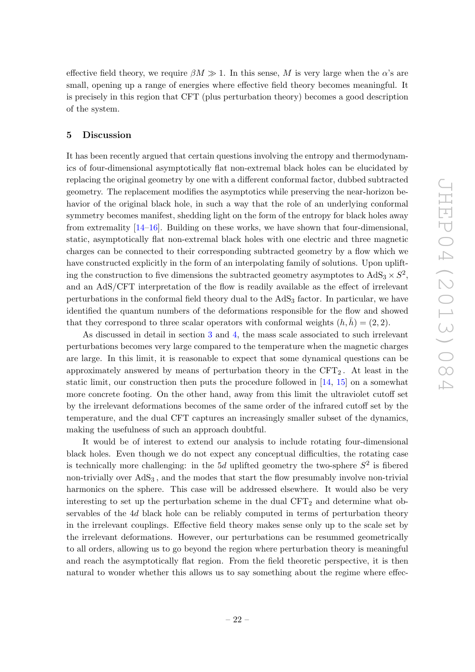effective field theory, we require  $\beta M \gg 1$ . In this sense, M is very large when the  $\alpha$ 's are small, opening up a range of energies where effective field theory becomes meaningful. It is precisely in this region that CFT (plus perturbation theory) becomes a good description of the system.

# <span id="page-23-0"></span>5 Discussion

It has been recently argued that certain questions involving the entropy and thermodynamics of four-dimensional asymptotically flat non-extremal black holes can be elucidated by replacing the original geometry by one with a different conformal factor, dubbed subtracted geometry. The replacement modifies the asymptotics while preserving the near-horizon behavior of the original black hole, in such a way that the role of an underlying conformal symmetry becomes manifest, shedding light on the form of the entropy for black holes away from extremality [\[14](#page-29-8)[–16\]](#page-29-10). Building on these works, we have shown that four-dimensional, static, asymptotically flat non-extremal black holes with one electric and three magnetic charges can be connected to their corresponding subtracted geometry by a flow which we have constructed explicitly in the form of an interpolating family of solutions. Upon uplifting the construction to five dimensions the subtracted geometry asymptotes to  $AdS_3 \times S^2$ , and an AdS/CFT interpretation of the flow is readily available as the effect of irrelevant perturbations in the conformal field theory dual to the  $AdS<sub>3</sub>$  factor. In particular, we have identified the quantum numbers of the deformations responsible for the flow and showed that they correspond to three scalar operators with conformal weights  $(h, h) = (2, 2)$ .

As discussed in detail in section [3](#page-10-0) and [4,](#page-15-0) the mass scale associated to such irrelevant perturbations becomes very large compared to the temperature when the magnetic charges are large. In this limit, it is reasonable to expect that some dynamical questions can be approximately answered by means of perturbation theory in the  $CFT<sub>2</sub>$ . At least in the static limit, our construction then puts the procedure followed in [\[14,](#page-29-8) [15\]](#page-29-9) on a somewhat more concrete footing. On the other hand, away from this limit the ultraviolet cutoff set by the irrelevant deformations becomes of the same order of the infrared cutoff set by the temperature, and the dual CFT captures an increasingly smaller subset of the dynamics, making the usefulness of such an approach doubtful.

It would be of interest to extend our analysis to include rotating four-dimensional black holes. Even though we do not expect any conceptual difficulties, the rotating case is technically more challenging: in the 5d uplifted geometry the two-sphere  $S^2$  is fibered non-trivially over  $AdS_3$ , and the modes that start the flow presumably involve non-trivial harmonics on the sphere. This case will be addressed elsewhere. It would also be very interesting to set up the perturbation scheme in the dual  $CFT<sub>2</sub>$  and determine what observables of the 4d black hole can be reliably computed in terms of perturbation theory in the irrelevant couplings. Effective field theory makes sense only up to the scale set by the irrelevant deformations. However, our perturbations can be resummed geometrically to all orders, allowing us to go beyond the region where perturbation theory is meaningful and reach the asymptotically flat region. From the field theoretic perspective, it is then natural to wonder whether this allows us to say something about the regime where effec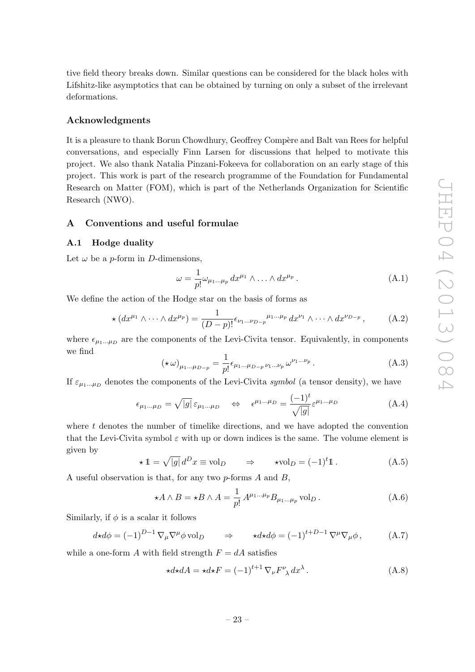tive field theory breaks down. Similar questions can be considered for the black holes with Lifshitz-like asymptotics that can be obtained by turning on only a subset of the irrelevant deformations.

## Acknowledgments

It is a pleasure to thank Borun Chowdhury, Geoffrey Compère and Balt van Rees for helpful conversations, and especially Finn Larsen for discussions that helped to motivate this project. We also thank Natalia Pinzani-Fokeeva for collaboration on an early stage of this project. This work is part of the research programme of the Foundation for Fundamental Research on Matter (FOM), which is part of the Netherlands Organization for Scientific Research (NWO).

# <span id="page-24-0"></span>A Conventions and useful formulae

#### <span id="page-24-1"></span>A.1 Hodge duality

Let  $\omega$  be a *p*-form in *D*-dimensions,

$$
\omega = \frac{1}{p!} \omega_{\mu_1 \dots \mu_p} dx^{\mu_1} \wedge \dots \wedge dx^{\mu_p} . \tag{A.1}
$$

We define the action of the Hodge star on the basis of forms as

$$
\star (dx^{\mu_1} \wedge \cdots \wedge dx^{\mu_p}) = \frac{1}{(D-p)!} \epsilon_{\nu_1 \dots \nu_{D-p}}^{\mu_1 \dots \mu_p} dx^{\nu_1} \wedge \cdots \wedge dx^{\nu_{D-p}} , \qquad (A.2)
$$

where  $\epsilon_{\mu_1...\mu_D}$  are the components of the Levi-Civita tensor. Equivalently, in components we find

$$
(\star \omega)_{\mu_1...\mu_{D-p}} = \frac{1}{p!} \epsilon_{\mu_1...\mu_{D-p}} \nu_1...\nu_p \omega^{\nu_1...\nu_p}.
$$
 (A.3)

If  $\varepsilon_{\mu_1...\mu_D}$  denotes the components of the Levi-Civita symbol (a tensor density), we have

$$
\epsilon_{\mu_1...\mu_D} = \sqrt{|g|} \, \varepsilon_{\mu_1...\mu_D} \quad \Leftrightarrow \quad \epsilon^{\mu_1...\mu_D} = \frac{(-1)^t}{\sqrt{|g|}} \varepsilon^{\mu_1...\mu_D} \tag{A.4}
$$

where  $t$  denotes the number of timelike directions, and we have adopted the convention that the Levi-Civita symbol  $\varepsilon$  with up or down indices is the same. The volume element is given by

$$
\star \mathbb{1} = \sqrt{|g|} \, d^D x \equiv \text{vol}_D \qquad \Rightarrow \qquad \star \text{vol}_D = (-1)^t \mathbb{1} \,. \tag{A.5}
$$

A useful observation is that, for any two  $p$ -forms  $A$  and  $B$ ,

<span id="page-24-2"></span>
$$
\star A \wedge B = \star B \wedge A = \frac{1}{p!} A^{\mu_1 \dots \mu_p} B_{\mu_1 \dots \mu_p} \text{vol}_D.
$$
 (A.6)

Similarly, if  $\phi$  is a scalar it follows

$$
d \star d\phi = (-1)^{D-1} \nabla_{\mu} \nabla^{\mu} \phi \,\text{vol}_{D} \qquad \Rightarrow \qquad \star d \star d\phi = (-1)^{t+D-1} \nabla^{\mu} \nabla_{\mu} \phi \,, \tag{A.7}
$$

while a one-form A with field strength  $F = dA$  satisfies

$$
\star d \star dA = \star d \star F = (-1)^{t+1} \nabla_{\nu} F^{\nu}_{\lambda} dx^{\lambda}.
$$
 (A.8)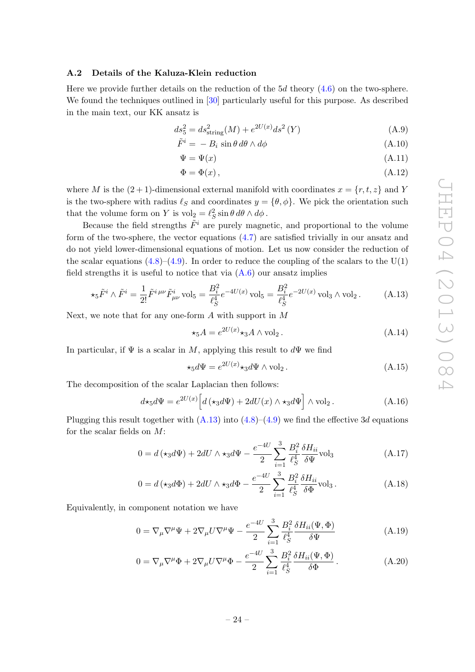#### <span id="page-25-0"></span>A.2 Details of the Kaluza-Klein reduction

Here we provide further details on the reduction of the  $5d$  theory  $(4.6)$  on the two-sphere. We found the techniques outlined in [\[30\]](#page-30-7) particularly useful for this purpose. As described in the main text, our KK ansatz is

$$
ds_5^2 = ds_{\text{string}}^2(M) + e^{2U(x)}ds^2(Y)
$$
 (A.9)

$$
\tilde{F}^i = -B_i \sin \theta \, d\theta \wedge d\phi \tag{A.10}
$$

$$
\Psi = \Psi(x) \tag{A.11}
$$

$$
\Phi = \Phi(x),\tag{A.12}
$$

where M is the  $(2 + 1)$ -dimensional external manifold with coordinates  $x = \{r, t, z\}$  and Y is the two-sphere with radius  $\ell_S$  and coordinates  $y = {\theta, \phi}$ . We pick the orientation such that the volume form on Y is  $\mathrm{vol}_2 = \ell_S^2 \sin \theta \, d\theta \wedge d\phi$ .

Because the field strengths  $\tilde{F}^i$  are purely magnetic, and proportional to the volume form of the two-sphere, the vector equations [\(4.7\)](#page-16-3) are satisfied trivially in our ansatz and do not yield lower-dimensional equations of motion. Let us now consider the reduction of the scalar equations  $(4.8)$ – $(4.9)$ . In order to reduce the coupling of the scalars to the U(1) field strengths it is useful to notice that via  $(A.6)$  our ansatz implies

<span id="page-25-3"></span>
$$
\star_5 \tilde{F}^i \wedge \tilde{F}^i = \frac{1}{2!} \tilde{F}^{i\,\mu\nu} \tilde{F}^i_{\mu\nu} \,\text{vol}_5 = \frac{B_i^2}{\ell_S^4} e^{-4U(x)} \,\text{vol}_5 = \frac{B_i^2}{\ell_S^4} e^{-2U(x)} \,\text{vol}_3 \wedge \text{vol}_2 \,. \tag{A.13}
$$

Next, we note that for any one-form A with support in M

$$
\star_5 A = e^{2U(x)} \star_3 A \wedge \text{vol}_2. \tag{A.14}
$$

In particular, if  $\Psi$  is a scalar in M, applying this result to  $d\Psi$  we find

<span id="page-25-2"></span><span id="page-25-1"></span>
$$
\star_5 d\Psi = e^{2U(x)} \star_3 d\Psi \wedge \text{vol}_2. \tag{A.15}
$$

The decomposition of the scalar Laplacian then follows:

$$
d\star_5 d\Psi = e^{2U(x)} \Big[ d(\star_3 d\Psi) + 2dU(x) \wedge \star_3 d\Psi \Big] \wedge \text{vol}_2.
$$
 (A.16)

Plugging this result together with  $(A.13)$  into  $(4.8)$ – $(4.9)$  we find the effective 3d equations for the scalar fields on  $M$ :

$$
0 = d\left(\star_3 d\Psi\right) + 2dU \wedge \star_3 d\Psi - \frac{e^{-4U}}{2} \sum_{i=1}^3 \frac{B_i^2}{\ell_S^4} \frac{\delta H_{ii}}{\delta \Psi} \text{vol}_3 \tag{A.17}
$$

$$
0 = d(\star_3 d\Phi) + 2dU \wedge \star_3 d\Phi - \frac{e^{-4U}}{2} \sum_{i=1}^3 \frac{B_i^2}{\ell_S^4} \frac{\delta H_{ii}}{\delta \Phi} \text{vol}_3. \tag{A.18}
$$

Equivalently, in component notation we have

$$
0 = \nabla_{\mu} \nabla^{\mu} \Psi + 2 \nabla_{\mu} U \nabla^{\mu} \Psi - \frac{e^{-4U}}{2} \sum_{i=1}^{3} \frac{B_i^2}{\ell_S^4} \frac{\delta H_{ii}(\Psi, \Phi)}{\delta \Psi}
$$
(A.19)

$$
0 = \nabla_{\mu} \nabla^{\mu} \Phi + 2 \nabla_{\mu} U \nabla^{\mu} \Phi - \frac{e^{-4U}}{2} \sum_{i=1}^{3} \frac{B_i^2}{\ell_S^4} \frac{\delta H_{ii}(\Psi, \Phi)}{\delta \Phi}.
$$
 (A.20)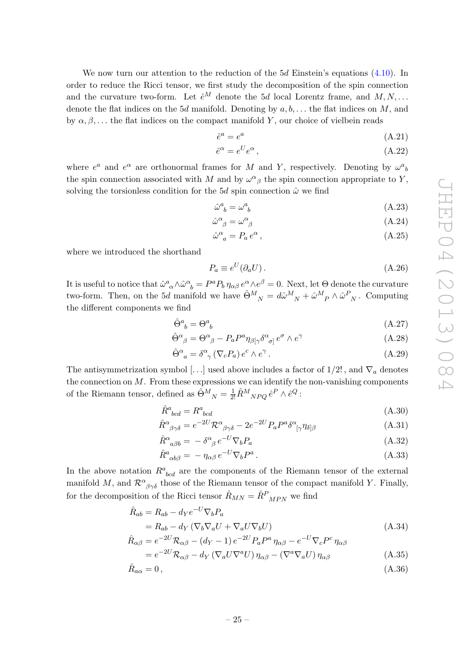We now turn our attention to the reduction of the  $5d$  Einstein's equations  $(4.10)$ . In order to reduce the Ricci tensor, we first study the decomposition of the spin connection and the curvature two-form. Let  $\hat{e}^M$  denote the 5d local Lorentz frame, and  $M, N, \ldots$ denote the flat indices on the 5d manifold. Denoting by  $a, b, \ldots$  the flat indices on M, and by  $\alpha, \beta, \ldots$  the flat indices on the compact manifold Y, our choice of vielbein reads

$$
\hat{e}^a = e^a \tag{A.21}
$$

$$
\hat{e}^{\alpha} = e^{U} e^{\alpha},\tag{A.22}
$$

where  $e^a$  and  $e^{\alpha}$  are orthonormal frames for M and Y, respectively. Denoting by  $\omega^a{}_b$ the spin connection associated with M and by  $\omega^{\alpha}{}_{\beta}$  the spin connection appropriate to Y, solving the torsionless condition for the 5d spin connection  $\hat{\omega}$  we find

$$
\hat{\omega}_{b}^{a} = \omega_{b}^{a} \tag{A.23}
$$

$$
\hat{\omega}^{\alpha}{}_{\beta} = \omega^{\alpha}{}_{\beta} \tag{A.24}
$$

$$
\hat{\omega}_{a}^{\alpha} = P_a e^{\alpha} \,,\tag{A.25}
$$

where we introduced the shorthand

$$
P_a \equiv e^U(\partial_a U). \tag{A.26}
$$

It is useful to notice that  $\hat{\omega}^a_{\ \alpha} \wedge \hat{\omega}^{\alpha}_{\ b} = P^a P_b \eta_{\alpha\beta} e^{\alpha} \wedge e^{\beta} = 0$ . Next, let  $\Theta$  denote the curvature two-form. Then, on the 5d manifold we have  $\hat{\Theta}^M{}_N = d\hat{\omega}^M{}_N + \hat{\omega}^M{}_P \wedge \hat{\omega}^P{}_N$ . Computing the different components we find

$$
\hat{\Theta}^a_{\ b} = \Theta^a_{\ b} \tag{A.27}
$$

$$
\hat{\Theta}^{\alpha}{}_{\beta} = \Theta^{\alpha}{}_{\beta} - P_{a} P^{a} \eta_{\beta[\gamma} \delta^{\alpha}{}_{\sigma]} e^{\sigma} \wedge e^{\gamma}
$$
\n(A.28)

$$
\hat{\Theta}^{\alpha}{}_{a} = \delta^{\alpha}{}_{\gamma} (\nabla_{c} P_{a}) e^{c} \wedge e^{\gamma} . \tag{A.29}
$$

The antisymmetrization symbol [...] used above includes a factor of  $1/2!$ , and  $\nabla_a$  denotes the connection on  $M$ . From these expressions we can identify the non-vanishing components of the Riemann tensor, defined as  $\hat{\Theta}^{M}{}_{N} = \frac{1}{2!} \hat{R}^{M}{}_{NPQ} \hat{e}^{P} \wedge \hat{e}^{Q}$ :

$$
\hat{R}^a{}_{bcd} = R^a{}_{bcd} \tag{A.30}
$$

$$
\hat{R}^{\alpha}{}_{\beta\gamma\delta} = e^{-2U} \mathcal{R}^{\alpha}{}_{\beta\gamma\delta} - 2e^{-2U} P_{a} P^{a} \delta^{\alpha}{}_{[\gamma} \eta_{\delta]\beta} \tag{A.31}
$$

$$
\hat{R}^{\alpha}{}_{a\beta b} = -\delta^{\alpha}{}_{\beta} e^{-U} \nabla_b P_a \tag{A.32}
$$

$$
\hat{R}^a_{\ \alpha b\beta} = -\eta_{\alpha\beta} e^{-U} \nabla_b P^a \,. \tag{A.33}
$$

In the above notation  $R^a_{bcd}$  are the components of the Riemann tensor of the external manifold M, and  $\mathcal{R}^{\alpha}{}_{\beta\gamma\delta}$  those of the Riemann tensor of the compact manifold Y. Finally, for the decomposition of the Ricci tensor  $\hat{R}_{MN}=\hat{R}^{P}_{\phantom{P}MPN}$  we find

$$
\hat{R}_{ab} = R_{ab} - d_Y e^{-U} \nabla_b P_a
$$
  
=  $R_{ab} - d_Y (\nabla_b \nabla_a U + \nabla_a U \nabla_b U)$  (A.34)

$$
\hat{R}_{\alpha\beta} = e^{-2U} \mathcal{R}_{\alpha\beta} - (d_Y - 1) e^{-2U} P_a P^a \eta_{\alpha\beta} - e^{-U} \nabla_c P^c \eta_{\alpha\beta}
$$
\n
$$
= e^{-2U} \mathcal{R}_{\alpha\beta} - d_Y (\nabla H \nabla^a H) \eta_{\alpha\beta} - (\nabla^a \nabla H) \eta_{\alpha\beta} \tag{A.35}
$$

$$
= e^{-2U} \mathcal{R}_{\alpha\beta} - d_Y \left( \nabla_a U \nabla^a U \right) \eta_{\alpha\beta} - \left( \nabla^a \nabla_a U \right) \eta_{\alpha\beta} \tag{A.35}
$$

$$
\hat{R}_{a\alpha} = 0, \tag{A.36}
$$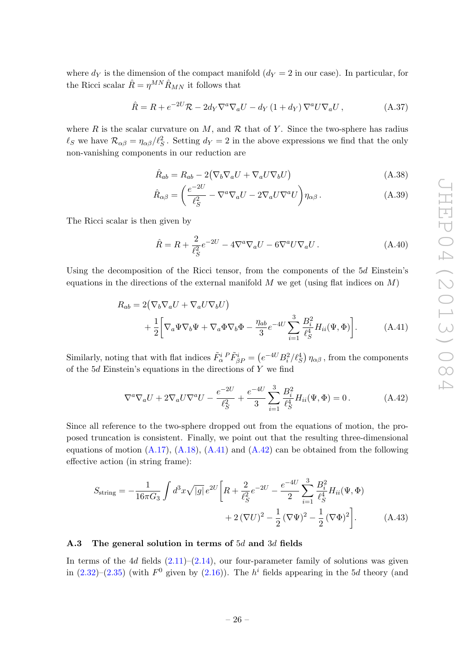where  $d_Y$  is the dimension of the compact manifold  $(d_Y = 2$  in our case). In particular, for the Ricci scalar  $\hat{R}=\eta^{MN}\hat{R}_{MN}$  it follows that

$$
\hat{R} = R + e^{-2U} \mathcal{R} - 2d_Y \nabla^a \nabla_a U - d_Y (1 + d_Y) \nabla^a U \nabla_a U, \qquad (A.37)
$$

where R is the scalar curvature on M, and R that of Y. Since the two-sphere has radius  $\ell_S$  we have  $\mathcal{R}_{\alpha\beta} = \eta_{\alpha\beta}/\ell_S^2$ . Setting  $d_Y = 2$  in the above expressions we find that the only non-vanishing components in our reduction are

$$
\hat{R}_{ab} = R_{ab} - 2(\nabla_b \nabla_a U + \nabla_a U \nabla_b U) \tag{A.38}
$$

$$
\hat{R}_{\alpha\beta} = \left(\frac{e^{-2U}}{\ell_S^2} - \nabla^a \nabla_a U - 2\nabla_a U \nabla^a U\right) \eta_{\alpha\beta}.
$$
\n(A.39)

The Ricci scalar is then given by

<span id="page-27-1"></span>
$$
\hat{R} = R + \frac{2}{\ell_S^2} e^{-2U} - 4\nabla^a \nabla_a U - 6\nabla^a U \nabla_a U. \tag{A.40}
$$

Using the decomposition of the Ricci tensor, from the components of the 5d Einstein's equations in the directions of the external manifold  $M$  we get (using flat indices on  $M$ )

$$
R_{ab} = 2(\nabla_b \nabla_a U + \nabla_a U \nabla_b U)
$$
  
+  $\frac{1}{2} \bigg[ \nabla_a \Psi \nabla_b \Psi + \nabla_a \Phi \nabla_b \Phi - \frac{\eta_{ab}}{3} e^{-4U} \sum_{i=1}^3 \frac{B_i^2}{\ell_S^4} H_{ii}(\Psi, \Phi) \bigg].$  (A.41)

Similarly, noting that with flat indices  $\tilde{F}_{\alpha}^{i}{}^{P}\tilde{F}_{\beta P}^{i} = \left(e^{-4U}B_{i}^{2}/\ell_{S}^{4}\right)\eta_{\alpha\beta}$ , from the components of the  $5d$  Einstein's equations in the directions of Y we find

<span id="page-27-2"></span>
$$
\nabla^a \nabla_a U + 2 \nabla_a U \nabla^a U - \frac{e^{-2U}}{\ell_S^2} + \frac{e^{-4U}}{3} \sum_{i=1}^3 \frac{B_i^2}{\ell_S^4} H_{ii}(\Psi, \Phi) = 0.
$$
 (A.42)

Since all reference to the two-sphere dropped out from the equations of motion, the proposed truncation is consistent. Finally, we point out that the resulting three-dimensional equations of motion  $(A.17)$ ,  $(A.18)$ ,  $(A.41)$  and  $(A.42)$  can be obtained from the following effective action (in string frame):

$$
S_{\text{string}} = -\frac{1}{16\pi G_3} \int d^3x \sqrt{|g|} e^{2U} \left[ R + \frac{2}{\ell_S^2} e^{-2U} - \frac{e^{-4U}}{2} \sum_{i=1}^3 \frac{B_i^2}{\ell_S^4} H_{ii}(\Psi, \Phi) + 2(\nabla U)^2 - \frac{1}{2} (\nabla \Psi)^2 - \frac{1}{2} (\nabla \Phi)^2 \right]. \tag{A.43}
$$

#### <span id="page-27-0"></span>A.3 The general solution in terms of 5d and 3d fields

In terms of the 4d fields  $(2.11)$ – $(2.14)$ , our four-parameter family of solutions was given in  $(2.32)$ – $(2.35)$  (with  $F^0$  given by  $(2.16)$ ). The  $h^i$  fields appearing in the 5d theory (and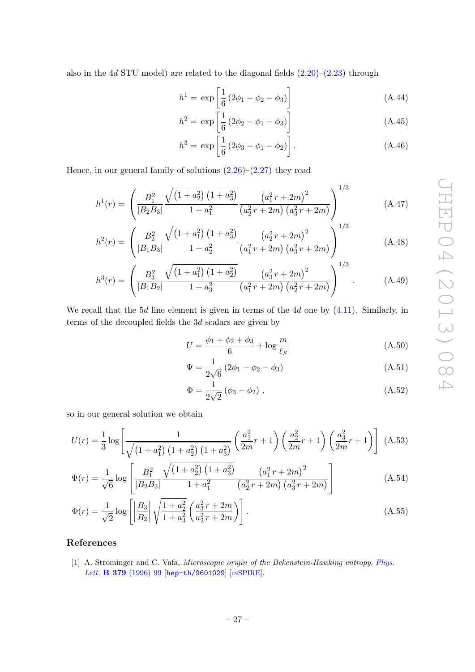also in the 4d STU model) are related to the diagonal fields  $(2.20)$ – $(2.23)$  through

$$
h^{1} = \exp\left[\frac{1}{6}\left(2\phi_{1} - \phi_{2} - \phi_{3}\right)\right]
$$
 (A.44)

$$
h^2 = \exp\left[\frac{1}{6}\left(2\phi_2 - \phi_1 - \phi_3\right)\right]
$$
 (A.45)

<span id="page-28-1"></span>
$$
h^3 = \exp\left[\frac{1}{6}(2\phi_3 - \phi_1 - \phi_2)\right].
$$
 (A.46)

Hence, in our general family of solutions  $(2.26)$ – $(2.27)$  they read

$$
h^{1}(r) = \left(\frac{B_{1}^{2}}{|B_{2}B_{3}|} \frac{\sqrt{(1+a_{2}^{2}) (1+a_{3}^{2})}}{1+a_{1}^{2}} \frac{\left(a_{1}^{2} r + 2m\right)^{2}}{\left(a_{2}^{2} r + 2m\right) \left(a_{3}^{2} r + 2m\right)}\right)^{1/3}
$$
(A.47)

$$
h^{2}(r) = \left(\frac{B_{2}^{2}}{|B_{1}B_{3}|} \frac{\sqrt{(1+a_{1}^{2}) (1+a_{3}^{2})}}{1+a_{2}^{2}} \frac{\left(a_{2}^{2} r + 2m\right)^{2}}{\left(a_{1}^{2} r + 2m\right) \left(a_{3}^{2} r + 2m\right)}\right)^{1/3} \tag{A.48}
$$

$$
h^{3}(r) = \left(\frac{B_{3}^{2}}{|B_{1}B_{2}|}\frac{\sqrt{(1+a_{1}^{2}) (1+a_{2}^{2})}}{1+a_{3}^{2}} \frac{\left(a_{3}^{2} r + 2m\right)^{2}}{\left(a_{1}^{2} r + 2m\right) \left(a_{2}^{2} r + 2m\right)}\right)^{1/3}.
$$
 (A.49)

We recall that the  $5d$  line element is given in terms of the  $4d$  one by  $(4.11)$ . Similarly, in terms of the decoupled fields the 3d scalars are given by

<span id="page-28-2"></span>
$$
U = \frac{\phi_1 + \phi_2 + \phi_3}{6} + \log \frac{m}{\ell_S}
$$
 (A.50)

$$
\Psi = \frac{1}{2\sqrt{6}} \left( 2\phi_1 - \phi_2 - \phi_3 \right) \tag{A.51}
$$

<span id="page-28-4"></span><span id="page-28-3"></span>
$$
\Phi = \frac{1}{2\sqrt{2}} (\phi_3 - \phi_2) , \qquad (A.52)
$$

so in our general solution we obtain

$$
U(r) = \frac{1}{3} \log \left[ \frac{1}{\sqrt{\left(1 + a_1^2\right) \left(1 + a_2^2\right) \left(1 + a_3^2\right)}} \left(\frac{a_1^2}{2m}r + 1\right) \left(\frac{a_2^2}{2m}r + 1\right) \left(\frac{a_3^2}{2m}r + 1\right) \right]
$$
(A.53)

$$
\Psi(r) = \frac{1}{\sqrt{6}} \log \left[ \frac{B_1^2}{|B_2 B_3|} \frac{\sqrt{(1+a_2^2)(1+a_3^2)}}{1+a_1^2} \frac{\left(a_1^2 r + 2m\right)^2}{\left(a_2^2 r + 2m\right)\left(a_3^2 r + 2m\right)} \right]
$$
(A.54)

$$
\Phi(r) = \frac{1}{\sqrt{2}} \log \left[ \left| \frac{B_3}{B_2} \right| \sqrt{\frac{1 + a_2^2}{1 + a_3^2}} \left( \frac{a_3^2 r + 2m}{a_2^2 r + 2m} \right) \right].
$$
\n(A.55)

# References

<span id="page-28-0"></span>[1] A. Strominger and C. Vafa, Microscopic origin of the Bekenstein-Hawking entropy, [Phys.](http://dx.doi.org/10.1016/0370-2693(96)00345-0) Lett. **B 379** [\(1996\) 99](http://dx.doi.org/10.1016/0370-2693(96)00345-0) [[hep-th/9601029](http://arxiv.org/abs/hep-th/9601029)] [IN[SPIRE](http://inspirehep.net/search?p=find+EPRINT+hep-th/9601029)].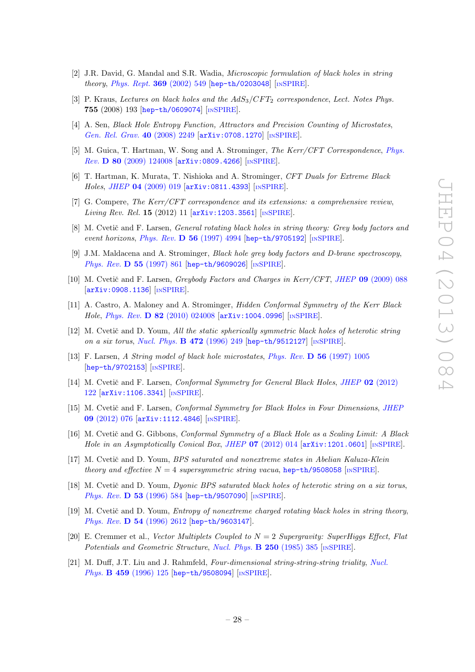- <span id="page-29-0"></span>[2] J.R. David, G. Mandal and S.R. Wadia, Microscopic formulation of black holes in string theory, [Phys. Rept.](http://dx.doi.org/10.1016/S0370-1573(02)00271-5) 369 (2002) 549 [[hep-th/0203048](http://arxiv.org/abs/hep-th/0203048)] [IN[SPIRE](http://inspirehep.net/search?p=find+EPRINT+hep-th/0203048)].
- [3] P. Kraus, Lectures on black holes and the  $AdS_3/CFT_2$  correspondence, Lect. Notes Phys. 755 (2008) 193 [[hep-th/0609074](http://arxiv.org/abs/hep-th/0609074)] [IN[SPIRE](http://inspirehep.net/search?p=find+EPRINT+hep-th/0609074)].
- <span id="page-29-1"></span>[4] A. Sen, Black Hole Entropy Function, Attractors and Precision Counting of Microstates, [Gen. Rel. Grav.](http://dx.doi.org/10.1007/s10714-008-0626-4) 40 (2008) 2249 [[arXiv:0708.1270](http://arxiv.org/abs/0708.1270)] [IN[SPIRE](http://inspirehep.net/search?p=find+EPRINT+arXiv:0708.1270)].
- <span id="page-29-2"></span>[5] M. Guica, T. Hartman, W. Song and A. Strominger, The Kerr/CFT Correspondence, [Phys.](http://dx.doi.org/10.1103/PhysRevD.80.124008) Rev. D 80 [\(2009\) 124008](http://dx.doi.org/10.1103/PhysRevD.80.124008) [[arXiv:0809.4266](http://arxiv.org/abs/0809.4266)] [IN[SPIRE](http://inspirehep.net/search?p=find+EPRINT+arXiv:0809.4266)].
- [6] T. Hartman, K. Murata, T. Nishioka and A. Strominger, CFT Duals for Extreme Black Holes, JHEP 04 [\(2009\) 019](http://dx.doi.org/10.1088/1126-6708/2009/04/019) [[arXiv:0811.4393](http://arxiv.org/abs/0811.4393)] [IN[SPIRE](http://inspirehep.net/search?p=find+EPRINT+arXiv:0811.4393)].
- <span id="page-29-3"></span>[7] G. Compere, The Kerr/CFT correspondence and its extensions: a comprehensive review, *Living Rev. Rel.* **15** (2012) 11  $[\text{arXiv:1203.3561}]$  $[\text{arXiv:1203.3561}]$  $[\text{arXiv:1203.3561}]$   $[\text{insPIRE}]$ .
- <span id="page-29-4"></span>[8] M. Cvetič and F. Larsen, *General rotating black holes in string theory: Grey body factors and* event horizons, Phys. Rev. D 56 [\(1997\) 4994](http://dx.doi.org/10.1103/PhysRevD.56.4994) [[hep-th/9705192](http://arxiv.org/abs/hep-th/9705192)] [IN[SPIRE](http://inspirehep.net/search?p=find+EPRINT+hep-th/9705192)].
- [9] J.M. Maldacena and A. Strominger, Black hole grey body factors and D-brane spectroscopy, [Phys. Rev.](http://dx.doi.org/10.1103/PhysRevD.55.861) D 55 (1997) 861 [[hep-th/9609026](http://arxiv.org/abs/hep-th/9609026)] [IN[SPIRE](http://inspirehep.net/search?p=find+EPRINT+hep-th/9609026)].
- [10] M. Cvetič and F. Larsen, *Greybody Factors and Charges in Kerr/CFT*, *JHEP* 09 [\(2009\) 088](http://dx.doi.org/10.1088/1126-6708/2009/09/088) [[arXiv:0908.1136](http://arxiv.org/abs/0908.1136)] [IN[SPIRE](http://inspirehep.net/search?p=find+EPRINT+arXiv:0908.1136)].
- <span id="page-29-5"></span>[11] A. Castro, A. Maloney and A. Strominger, Hidden Conformal Symmetry of the Kerr Black Hole, Phys. Rev. D 82 [\(2010\) 024008](http://dx.doi.org/10.1103/PhysRevD.82.024008) [[arXiv:1004.0996](http://arxiv.org/abs/1004.0996)] [IN[SPIRE](http://inspirehep.net/search?p=find+EPRINT+arXiv:1004.0996)].
- <span id="page-29-6"></span>[12] M. Cvetič and D. Youm, All the static spherically symmetric black holes of heterotic string on a six torus, [Nucl. Phys.](http://dx.doi.org/10.1016/0550-3213(96)00219-2) **B 472** (1996) 249 [[hep-th/9512127](http://arxiv.org/abs/hep-th/9512127)] [IN[SPIRE](http://inspirehep.net/search?p=find+EPRINT+hep-th/9512127)].
- <span id="page-29-7"></span>[13] F. Larsen, A String model of black hole microstates, Phys. Rev. D 56 [\(1997\) 1005](http://dx.doi.org/10.1103/PhysRevD.56.1005) [[hep-th/9702153](http://arxiv.org/abs/hep-th/9702153)] [IN[SPIRE](http://inspirehep.net/search?p=find+EPRINT+hep-th/9702153)].
- <span id="page-29-8"></span>[14] M. Cvetič and F. Larsen, Conformal Symmetry for General Black Holes, JHEP 02 [\(2012\)](http://dx.doi.org/10.1007/JHEP02(2012)122) [122](http://dx.doi.org/10.1007/JHEP02(2012)122) [[arXiv:1106.3341](http://arxiv.org/abs/1106.3341)] [IN[SPIRE](http://inspirehep.net/search?p=find+EPRINT+arXiv:1106.3341)].
- <span id="page-29-9"></span>[15] M. Cvetič and F. Larsen, *Conformal Symmetry for Black Holes in Four Dimensions, [JHEP](http://dx.doi.org/10.1007/JHEP09(2012)076)* 09 [\(2012\) 076](http://dx.doi.org/10.1007/JHEP09(2012)076) [[arXiv:1112.4846](http://arxiv.org/abs/1112.4846)] [IN[SPIRE](http://inspirehep.net/search?p=find+EPRINT+arXiv:1112.4846)].
- <span id="page-29-10"></span>[16] M. Cvetič and G. Gibbons, *Conformal Symmetry of a Black Hole as a Scaling Limit: A Black* Hole in an Asymptotically Conical Box, JHEP  $07$  [\(2012\) 014](http://dx.doi.org/10.1007/JHEP07(2012)014)  $\text{arXiv:1201.0601}$  $\text{arXiv:1201.0601}$  $\text{arXiv:1201.0601}$  [IN[SPIRE](http://inspirehep.net/search?p=find+EPRINT+arXiv:1201.0601)].
- <span id="page-29-11"></span>[17] M. Cvetič and D. Youm, BPS saturated and nonextreme states in Abelian Kaluza-Klein theory and effective  $N = 4$  supersymmetric string vacua, [hep-th/9508058](http://arxiv.org/abs/hep-th/9508058) [IN[SPIRE](http://inspirehep.net/search?p=find+EPRINT+hep-th/9508058)].
- <span id="page-29-12"></span>[18] M. Cvetič and D. Youm, *Duonic BPS saturated black holes of heterotic string on a six torus*, [Phys. Rev.](http://dx.doi.org/10.1103/PhysRevD.53.584) **D 53** (1996) 584 [[hep-th/9507090](http://arxiv.org/abs/hep-th/9507090)] [IN[SPIRE](http://inspirehep.net/search?p=find+EPRINT+hep-th/9507090)].
- <span id="page-29-13"></span>[19] M. Cvetič and D. Youm, *Entropy of nonextreme charged rotating black holes in string theory*, Phys. Rev. D 54 [\(1996\) 2612](http://dx.doi.org/10.1103/PhysRevD.54.2612) [[hep-th/9603147](http://arxiv.org/abs/hep-th/9603147)].
- <span id="page-29-14"></span>[20] E. Cremmer et al., Vector Multiplets Coupled to  $N = 2$  Supergravity: SuperHiggs Effect, Flat Potentials and Geometric Structure, [Nucl. Phys.](http://dx.doi.org/10.1016/0550-3213(85)90488-2) B 250 (1985) 385 [IN[SPIRE](http://inspirehep.net/search?p=find+J+Nucl.Phys.,B250,385)].
- [21] M. Duff, J.T. Liu and J. Rahmfeld, Four-dimensional string-string-string triality, [Nucl.](http://dx.doi.org/10.1016/0550-3213(95)00555-2) Phys. **B 459** [\(1996\) 125](http://dx.doi.org/10.1016/0550-3213(95)00555-2) [[hep-th/9508094](http://arxiv.org/abs/hep-th/9508094)] [IN[SPIRE](http://inspirehep.net/search?p=find+EPRINT+hep-th/9508094)].